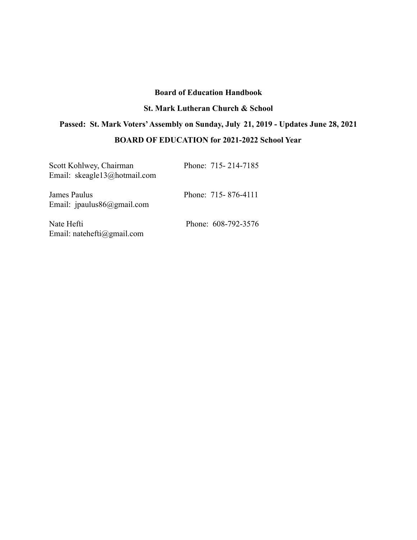# **Board of Education Handbook**

# **St. Mark Lutheran Church & School**

# **Passed: St. Mark Voters'Assembly on Sunday, July 21, 2019 - Updates June 28, 2021**

# **BOARD OF EDUCATION for 2021-2022 School Year**

| Scott Kohlwey, Chairman<br>Email: skeagle13@hotmail.com | Phone: 715-214-7185 |
|---------------------------------------------------------|---------------------|
| James Paulus<br>Email: ipaulus $86$ @gmail.com          | Phone: 715-876-4111 |
| Nate Hefti<br>Email: natehefti@gmail.com                | Phone: 608-792-3576 |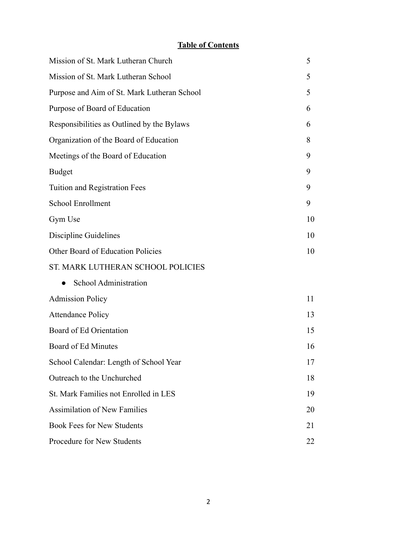# **Table of Contents**

| Mission of St. Mark Lutheran Church         | 5  |
|---------------------------------------------|----|
| Mission of St. Mark Lutheran School         | 5  |
| Purpose and Aim of St. Mark Lutheran School | 5  |
| Purpose of Board of Education               | 6  |
| Responsibilities as Outlined by the Bylaws  | 6  |
| Organization of the Board of Education      | 8  |
| Meetings of the Board of Education          | 9  |
| <b>Budget</b>                               | 9  |
| Tuition and Registration Fees               | 9  |
| <b>School Enrollment</b>                    | 9  |
| Gym Use                                     | 10 |
| <b>Discipline Guidelines</b>                | 10 |
| Other Board of Education Policies           | 10 |
| ST. MARK LUTHERAN SCHOOL POLICIES           |    |
| School Administration                       |    |
| <b>Admission Policy</b>                     | 11 |
| <b>Attendance Policy</b>                    | 13 |
| Board of Ed Orientation                     | 15 |
| Board of Ed Minutes                         | 16 |
| School Calendar: Length of School Year      | 17 |
| Outreach to the Unchurched                  | 18 |
| St. Mark Families not Enrolled in LES       | 19 |
| <b>Assimilation of New Families</b>         | 20 |
| <b>Book Fees for New Students</b>           | 21 |
| Procedure for New Students                  | 22 |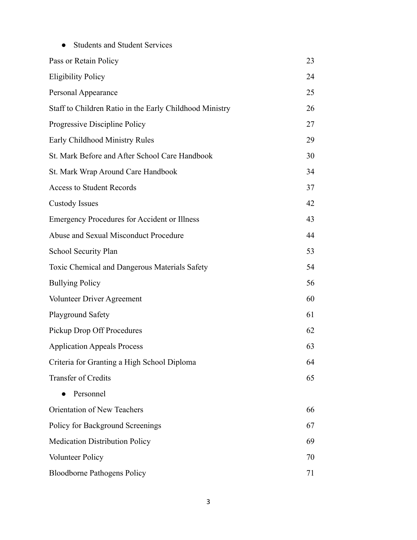| <b>Students and Student Services</b>                    |    |
|---------------------------------------------------------|----|
| Pass or Retain Policy                                   | 23 |
| <b>Eligibility Policy</b>                               | 24 |
| Personal Appearance                                     | 25 |
| Staff to Children Ratio in the Early Childhood Ministry | 26 |
| Progressive Discipline Policy                           | 27 |
| Early Childhood Ministry Rules                          | 29 |
| St. Mark Before and After School Care Handbook          | 30 |
| St. Mark Wrap Around Care Handbook                      | 34 |
| <b>Access to Student Records</b>                        | 37 |
| <b>Custody Issues</b>                                   | 42 |
| <b>Emergency Procedures for Accident or Illness</b>     | 43 |
| Abuse and Sexual Misconduct Procedure                   | 44 |
| School Security Plan                                    | 53 |
| Toxic Chemical and Dangerous Materials Safety           | 54 |
| <b>Bullying Policy</b>                                  | 56 |
| Volunteer Driver Agreement                              | 60 |
| Playground Safety                                       | 61 |
| Pickup Drop Off Procedures                              | 62 |
| <b>Application Appeals Process</b>                      | 63 |
| Criteria for Granting a High School Diploma             | 64 |
| Transfer of Credits                                     | 65 |
| Personnel                                               |    |
| Orientation of New Teachers                             | 66 |
| Policy for Background Screenings                        | 67 |
| <b>Medication Distribution Policy</b>                   | 69 |
| <b>Volunteer Policy</b>                                 | 70 |
| <b>Bloodborne Pathogens Policy</b>                      | 71 |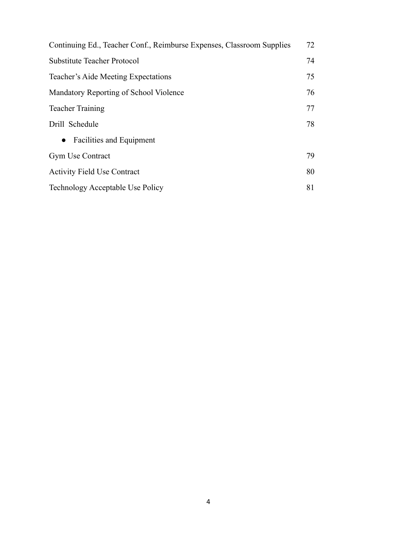| Continuing Ed., Teacher Conf., Reimburse Expenses, Classroom Supplies | 72 |
|-----------------------------------------------------------------------|----|
| <b>Substitute Teacher Protocol</b>                                    | 74 |
| Teacher's Aide Meeting Expectations                                   | 75 |
| Mandatory Reporting of School Violence                                | 76 |
| <b>Teacher Training</b>                                               | 77 |
| Drill Schedule                                                        | 78 |
| <b>Facilities and Equipment</b><br>$\bullet$                          |    |
| <b>Gym Use Contract</b>                                               | 79 |
| <b>Activity Field Use Contract</b>                                    | 80 |
| Technology Acceptable Use Policy                                      | 81 |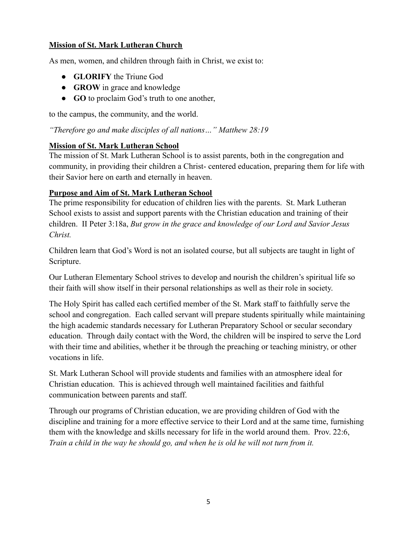# **Mission of St. Mark Lutheran Church**

As men, women, and children through faith in Christ, we exist to:

- **GLORIFY** the Triune God
- **GROW** in grace and knowledge
- **GO** to proclaim God's truth to one another,

to the campus, the community, and the world.

*"Therefore go and make disciples of all nations…" Matthew 28:19*

# **Mission of St. Mark Lutheran School**

The mission of St. Mark Lutheran School is to assist parents, both in the congregation and community, in providing their children a Christ- centered education, preparing them for life with their Savior here on earth and eternally in heaven.

# **Purpose and Aim of St. Mark Lutheran School**

The prime responsibility for education of children lies with the parents. St. Mark Lutheran School exists to assist and support parents with the Christian education and training of their children. II Peter 3:18a, *But grow in the grace and knowledge of our Lord and Savior Jesus Christ.*

Children learn that God's Word is not an isolated course, but all subjects are taught in light of Scripture.

Our Lutheran Elementary School strives to develop and nourish the children's spiritual life so their faith will show itself in their personal relationships as well as their role in society.

The Holy Spirit has called each certified member of the St. Mark staff to faithfully serve the school and congregation. Each called servant will prepare students spiritually while maintaining the high academic standards necessary for Lutheran Preparatory School or secular secondary education. Through daily contact with the Word, the children will be inspired to serve the Lord with their time and abilities, whether it be through the preaching or teaching ministry, or other vocations in life.

St. Mark Lutheran School will provide students and families with an atmosphere ideal for Christian education. This is achieved through well maintained facilities and faithful communication between parents and staff.

Through our programs of Christian education, we are providing children of God with the discipline and training for a more effective service to their Lord and at the same time, furnishing them with the knowledge and skills necessary for life in the world around them. Prov. 22:6, *Train a child in the way he should go, and when he is old he will not turn from it.*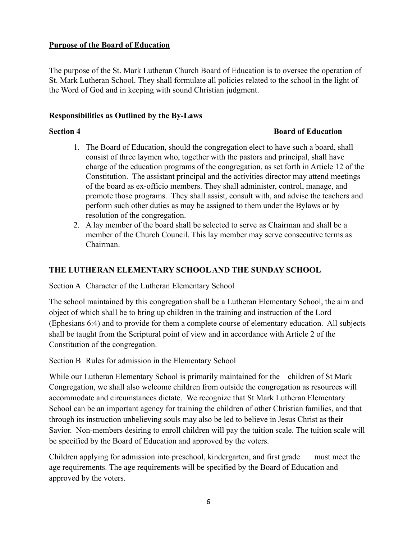# **Purpose of the Board of Education**

The purpose of the St. Mark Lutheran Church Board of Education is to oversee the operation of St. Mark Lutheran School. They shall formulate all policies related to the school in the light of the Word of God and in keeping with sound Christian judgment.

#### **Responsibilities as Outlined by the By-Laws**

#### **Section 4 Board of Education**

- 1. The Board of Education, should the congregation elect to have such a board, shall consist of three laymen who, together with the pastors and principal, shall have charge of the education programs of the congregation, as set forth in Article 12 of the Constitution. The assistant principal and the activities director may attend meetings of the board as ex-officio members. They shall administer, control, manage, and promote those programs. They shall assist, consult with, and advise the teachers and perform such other duties as may be assigned to them under the Bylaws or by resolution of the congregation.
- 2. A lay member of the board shall be selected to serve as Chairman and shall be a member of the Church Council. This lay member may serve consecutive terms as Chairman.

# **THE LUTHERAN ELEMENTARY SCHOOLAND THE SUNDAY SCHOOL**

Section A Character of the Lutheran Elementary School

The school maintained by this congregation shall be a Lutheran Elementary School, the aim and object of which shall be to bring up children in the training and instruction of the Lord (Ephesians 6:4) and to provide for them a complete course of elementary education. All subjects shall be taught from the Scriptural point of view and in accordance with Article 2 of the Constitution of the congregation.

Section B Rules for admission in the Elementary School

While our Lutheran Elementary School is primarily maintained for the children of St Mark Congregation, we shall also welcome children from outside the congregation as resources will accommodate and circumstances dictate. We recognize that St Mark Lutheran Elementary School can be an important agency for training the children of other Christian families, and that through its instruction unbelieving souls may also be led to believe in Jesus Christ as their Savior. Non-members desiring to enroll children will pay the tuition scale. The tuition scale will be specified by the Board of Education and approved by the voters.

Children applying for admission into preschool, kindergarten, and first grade must meet the age requirements. The age requirements will be specified by the Board of Education and approved by the voters.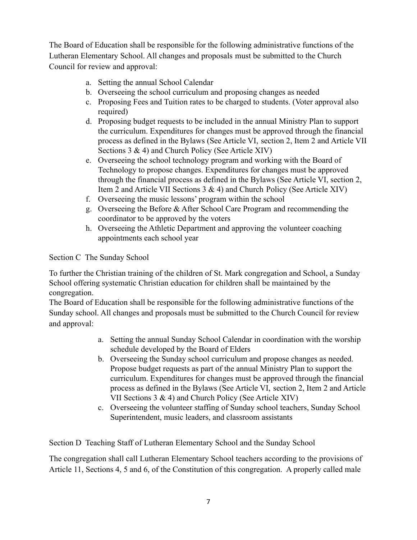The Board of Education shall be responsible for the following administrative functions of the Lutheran Elementary School. All changes and proposals must be submitted to the Church Council for review and approval:

- a. Setting the annual School Calendar
- b. Overseeing the school curriculum and proposing changes as needed
- c. Proposing Fees and Tuition rates to be charged to students. (Voter approval also required)
- d. Proposing budget requests to be included in the annual Ministry Plan to support the curriculum. Expenditures for changes must be approved through the financial process as defined in the Bylaws (See Article VI, section 2, Item 2 and Article VII Sections 3 & 4) and Church Policy (See Article XIV)
- e. Overseeing the school technology program and working with the Board of Technology to propose changes. Expenditures for changes must be approved through the financial process as defined in the Bylaws (See Article VI, section 2, Item 2 and Article VII Sections 3 & 4) and Church Policy (See Article XIV)
- f. Overseeing the music lessons' program within the school
- g. Overseeing the Before & After School Care Program and recommending the coordinator to be approved by the voters
- h. Overseeing the Athletic Department and approving the volunteer coaching appointments each school year

Section C The Sunday School

To further the Christian training of the children of St. Mark congregation and School, a Sunday School offering systematic Christian education for children shall be maintained by the congregation.

The Board of Education shall be responsible for the following administrative functions of the Sunday school. All changes and proposals must be submitted to the Church Council for review and approval:

- a. Setting the annual Sunday School Calendar in coordination with the worship schedule developed by the Board of Elders
- b. Overseeing the Sunday school curriculum and propose changes as needed. Propose budget requests as part of the annual Ministry Plan to support the curriculum. Expenditures for changes must be approved through the financial process as defined in the Bylaws (See Article VI, section 2, Item 2 and Article VII Sections 3 & 4) and Church Policy (See Article XIV)
- c. Overseeing the volunteer staffing of Sunday school teachers, Sunday School Superintendent, music leaders, and classroom assistants

Section D Teaching Staff of Lutheran Elementary School and the Sunday School

The congregation shall call Lutheran Elementary School teachers according to the provisions of Article 11, Sections 4, 5 and 6, of the Constitution of this congregation. A properly called male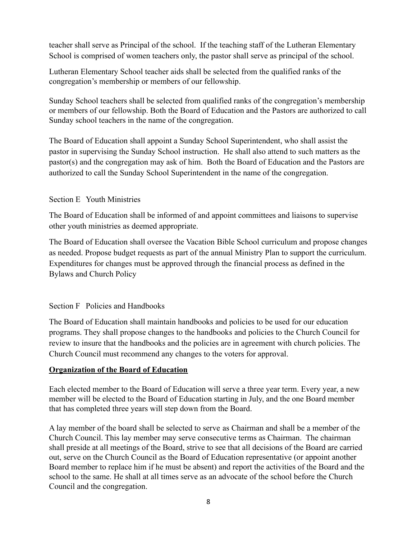teacher shall serve as Principal of the school. If the teaching staff of the Lutheran Elementary School is comprised of women teachers only, the pastor shall serve as principal of the school.

Lutheran Elementary School teacher aids shall be selected from the qualified ranks of the congregation's membership or members of our fellowship.

Sunday School teachers shall be selected from qualified ranks of the congregation's membership or members of our fellowship. Both the Board of Education and the Pastors are authorized to call Sunday school teachers in the name of the congregation.

The Board of Education shall appoint a Sunday School Superintendent, who shall assist the pastor in supervising the Sunday School instruction. He shall also attend to such matters as the pastor(s) and the congregation may ask of him. Both the Board of Education and the Pastors are authorized to call the Sunday School Superintendent in the name of the congregation.

# Section E Youth Ministries

The Board of Education shall be informed of and appoint committees and liaisons to supervise other youth ministries as deemed appropriate.

The Board of Education shall oversee the Vacation Bible School curriculum and propose changes as needed. Propose budget requests as part of the annual Ministry Plan to support the curriculum. Expenditures for changes must be approved through the financial process as defined in the Bylaws and Church Policy

# Section F Policies and Handbooks

The Board of Education shall maintain handbooks and policies to be used for our education programs. They shall propose changes to the handbooks and policies to the Church Council for review to insure that the handbooks and the policies are in agreement with church policies. The Church Council must recommend any changes to the voters for approval.

# **Organization of the Board of Education**

Each elected member to the Board of Education will serve a three year term. Every year, a new member will be elected to the Board of Education starting in July, and the one Board member that has completed three years will step down from the Board.

A lay member of the board shall be selected to serve as Chairman and shall be a member of the Church Council. This lay member may serve consecutive terms as Chairman. The chairman shall preside at all meetings of the Board, strive to see that all decisions of the Board are carried out, serve on the Church Council as the Board of Education representative (or appoint another Board member to replace him if he must be absent) and report the activities of the Board and the school to the same. He shall at all times serve as an advocate of the school before the Church Council and the congregation.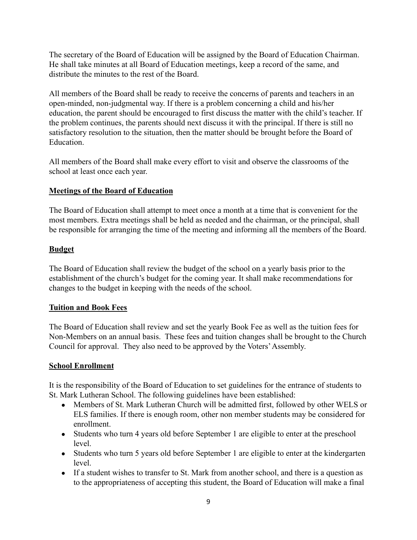The secretary of the Board of Education will be assigned by the Board of Education Chairman. He shall take minutes at all Board of Education meetings, keep a record of the same, and distribute the minutes to the rest of the Board.

All members of the Board shall be ready to receive the concerns of parents and teachers in an open-minded, non-judgmental way. If there is a problem concerning a child and his/her education, the parent should be encouraged to first discuss the matter with the child's teacher. If the problem continues, the parents should next discuss it with the principal. If there is still no satisfactory resolution to the situation, then the matter should be brought before the Board of **Education** 

All members of the Board shall make every effort to visit and observe the classrooms of the school at least once each year.

# **Meetings of the Board of Education**

The Board of Education shall attempt to meet once a month at a time that is convenient for the most members. Extra meetings shall be held as needed and the chairman, or the principal, shall be responsible for arranging the time of the meeting and informing all the members of the Board.

# **Budget**

The Board of Education shall review the budget of the school on a yearly basis prior to the establishment of the church's budget for the coming year. It shall make recommendations for changes to the budget in keeping with the needs of the school.

# **Tuition and Book Fees**

The Board of Education shall review and set the yearly Book Fee as well as the tuition fees for Non-Members on an annual basis. These fees and tuition changes shall be brought to the Church Council for approval. They also need to be approved by the Voters'Assembly.

# **School Enrollment**

It is the responsibility of the Board of Education to set guidelines for the entrance of students to St. Mark Lutheran School. The following guidelines have been established:

- Members of St. Mark Lutheran Church will be admitted first, followed by other WELS or ELS families. If there is enough room, other non member students may be considered for enrollment.
- Students who turn 4 years old before September 1 are eligible to enter at the preschool level.
- Students who turn 5 years old before September 1 are eligible to enter at the kindergarten level.
- If a student wishes to transfer to St. Mark from another school, and there is a question as to the appropriateness of accepting this student, the Board of Education will make a final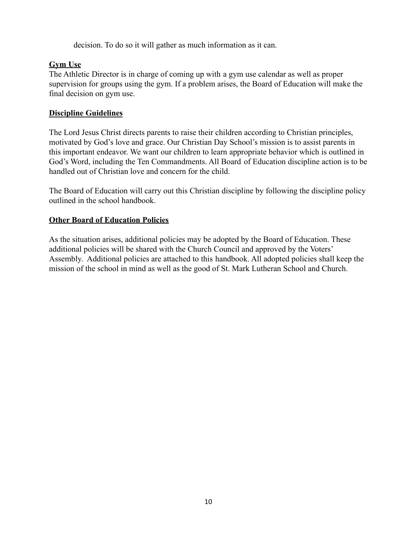decision. To do so it will gather as much information as it can.

# **Gym Use**

The Athletic Director is in charge of coming up with a gym use calendar as well as proper supervision for groups using the gym. If a problem arises, the Board of Education will make the final decision on gym use.

# **Discipline Guidelines**

The Lord Jesus Christ directs parents to raise their children according to Christian principles, motivated by God's love and grace. Our Christian Day School's mission is to assist parents in this important endeavor. We want our children to learn appropriate behavior which is outlined in God's Word, including the Ten Commandments. All Board of Education discipline action is to be handled out of Christian love and concern for the child.

The Board of Education will carry out this Christian discipline by following the discipline policy outlined in the school handbook.

# **Other Board of Education Policies**

As the situation arises, additional policies may be adopted by the Board of Education. These additional policies will be shared with the Church Council and approved by the Voters' Assembly. Additional policies are attached to this handbook. All adopted policies shall keep the mission of the school in mind as well as the good of St. Mark Lutheran School and Church.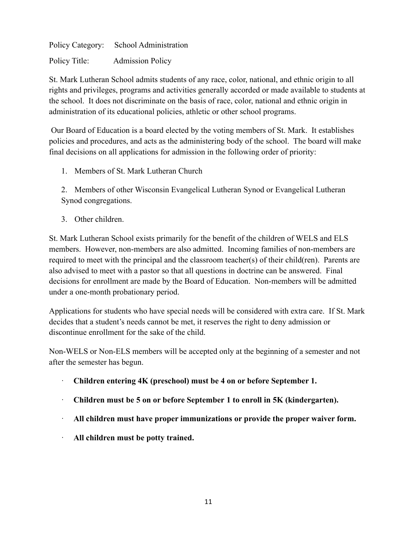Policy Category: School Administration Policy Title: Admission Policy

St. Mark Lutheran School admits students of any race, color, national, and ethnic origin to all rights and privileges, programs and activities generally accorded or made available to students at the school. It does not discriminate on the basis of race, color, national and ethnic origin in administration of its educational policies, athletic or other school programs.

Our Board of Education is a board elected by the voting members of St. Mark. It establishes policies and procedures, and acts as the administering body of the school. The board will make final decisions on all applications for admission in the following order of priority:

1. Members of St. Mark Lutheran Church

2. Members of other Wisconsin Evangelical Lutheran Synod or Evangelical Lutheran Synod congregations.

3. Other children.

St. Mark Lutheran School exists primarily for the benefit of the children of WELS and ELS members. However, non-members are also admitted. Incoming families of non-members are required to meet with the principal and the classroom teacher(s) of their child(ren). Parents are also advised to meet with a pastor so that all questions in doctrine can be answered. Final decisions for enrollment are made by the Board of Education. Non-members will be admitted under a one-month probationary period.

Applications for students who have special needs will be considered with extra care. If St. Mark decides that a student's needs cannot be met, it reserves the right to deny admission or discontinue enrollment for the sake of the child.

Non-WELS or Non-ELS members will be accepted only at the beginning of a semester and not after the semester has begun.

- · **Children entering 4K (preschool) must be 4 on or before September 1.**
- · **Children must be 5 on or before September 1 to enroll in 5K (kindergarten).**
- · **All children must have proper immunizations or provide the proper waiver form.**
- · **All children must be potty trained.**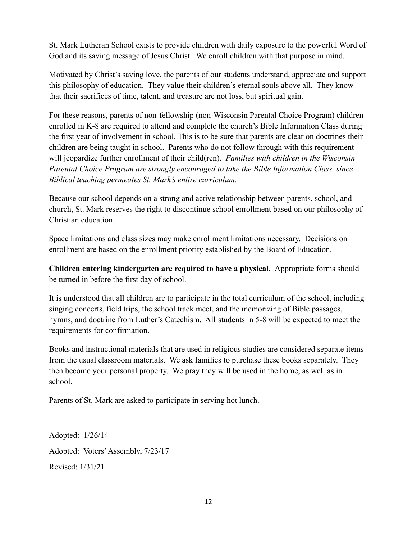St. Mark Lutheran School exists to provide children with daily exposure to the powerful Word of God and its saving message of Jesus Christ. We enroll children with that purpose in mind.

Motivated by Christ's saving love, the parents of our students understand, appreciate and support this philosophy of education. They value their children's eternal souls above all. They know that their sacrifices of time, talent, and treasure are not loss, but spiritual gain.

For these reasons, parents of non-fellowship (non-Wisconsin Parental Choice Program) children enrolled in K-8 are required to attend and complete the church's Bible Information Class during the first year of involvement in school. This is to be sure that parents are clear on doctrines their children are being taught in school. Parents who do not follow through with this requirement will jeopardize further enrollment of their child(ren). *Families with children in the Wisconsin Parental Choice Program are strongly encouraged to take the Bible Information Class, since Biblical teaching permeates St. Mark's entire curriculum.*

Because our school depends on a strong and active relationship between parents, school, and church, St. Mark reserves the right to discontinue school enrollment based on our philosophy of Christian education.

Space limitations and class sizes may make enrollment limitations necessary. Decisions on enrollment are based on the enrollment priority established by the Board of Education.

**Children entering kindergarten are required to have a physical.** Appropriate forms should be turned in before the first day of school.

It is understood that all children are to participate in the total curriculum of the school, including singing concerts, field trips, the school track meet, and the memorizing of Bible passages, hymns, and doctrine from Luther's Catechism. All students in 5-8 will be expected to meet the requirements for confirmation.

Books and instructional materials that are used in religious studies are considered separate items from the usual classroom materials. We ask families to purchase these books separately. They then become your personal property. We pray they will be used in the home, as well as in school.

Parents of St. Mark are asked to participate in serving hot lunch.

Adopted: 1/26/14 Adopted: Voters'Assembly, 7/23/17 Revised: 1/31/21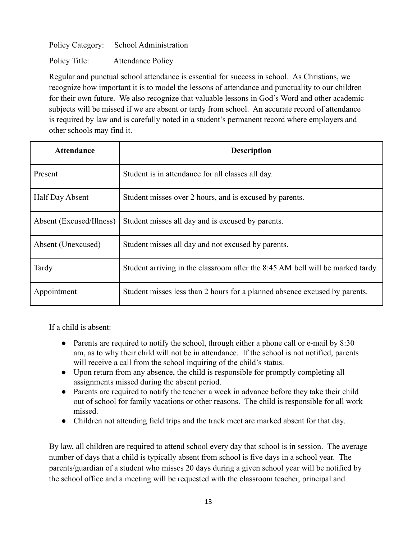Policy Category: School Administration

Policy Title: Attendance Policy

Regular and punctual school attendance is essential for success in school. As Christians, we recognize how important it is to model the lessons of attendance and punctuality to our children for their own future. We also recognize that valuable lessons in God's Word and other academic subjects will be missed if we are absent or tardy from school. An accurate record of attendance is required by law and is carefully noted in a student's permanent record where employers and other schools may find it.

| <b>Attendance</b>        | <b>Description</b>                                                             |
|--------------------------|--------------------------------------------------------------------------------|
| Present                  | Student is in attendance for all classes all day.                              |
| Half Day Absent          | Student misses over 2 hours, and is excused by parents.                        |
| Absent (Excused/Illness) | Student misses all day and is excused by parents.                              |
| Absent (Unexcused)       | Student misses all day and not excused by parents.                             |
| Tardy                    | Student arriving in the classroom after the 8:45 AM bell will be marked tardy. |
| Appointment              | Student misses less than 2 hours for a planned absence excused by parents.     |

If a child is absent:

- Parents are required to notify the school, through either a phone call or e-mail by 8:30 am, as to why their child will not be in attendance. If the school is not notified, parents will receive a call from the school inquiring of the child's status.
- Upon return from any absence, the child is responsible for promptly completing all assignments missed during the absent period.
- Parents are required to notify the teacher a week in advance before they take their child out of school for family vacations or other reasons. The child is responsible for all work missed.
- Children not attending field trips and the track meet are marked absent for that day.

By law, all children are required to attend school every day that school is in session. The average number of days that a child is typically absent from school is five days in a school year. The parents/guardian of a student who misses 20 days during a given school year will be notified by the school office and a meeting will be requested with the classroom teacher, principal and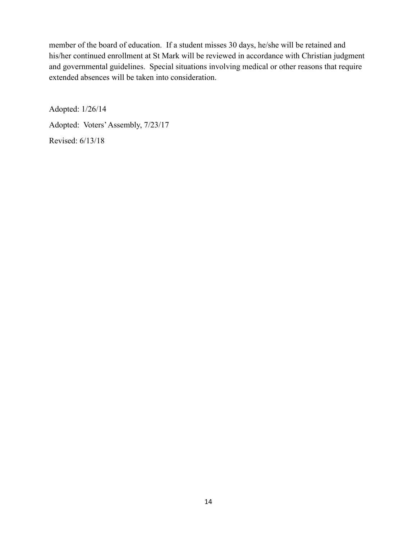member of the board of education. If a student misses 30 days, he/she will be retained and his/her continued enrollment at St Mark will be reviewed in accordance with Christian judgment and governmental guidelines. Special situations involving medical or other reasons that require extended absences will be taken into consideration.

Adopted: 1/26/14 Adopted: Voters'Assembly, 7/23/17 Revised: 6/13/18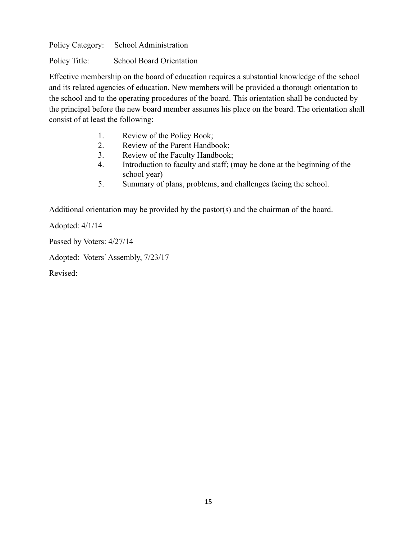Policy Category: School Administration

Policy Title: School Board Orientation

Effective membership on the board of education requires a substantial knowledge of the school and its related agencies of education. New members will be provided a thorough orientation to the school and to the operating procedures of the board. This orientation shall be conducted by the principal before the new board member assumes his place on the board. The orientation shall consist of at least the following:

- 1. Review of the Policy Book;
- 2. Review of the Parent Handbook;
- 3. Review of the Faculty Handbook;
- 4. Introduction to faculty and staff; (may be done at the beginning of the school year)
- 5. Summary of plans, problems, and challenges facing the school.

Additional orientation may be provided by the pastor(s) and the chairman of the board.

Adopted: 4/1/14

Passed by Voters: 4/27/14

Adopted: Voters'Assembly, 7/23/17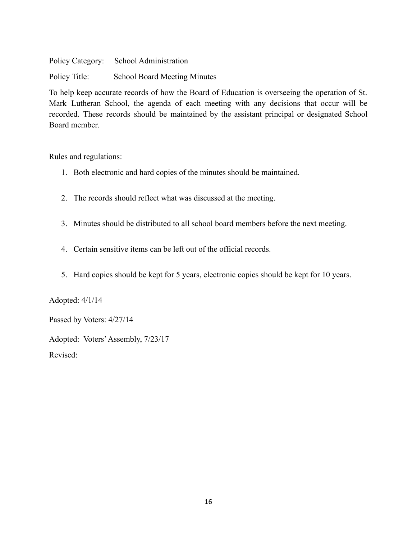Policy Category: School Administration Policy Title: School Board Meeting Minutes

To help keep accurate records of how the Board of Education is overseeing the operation of St. Mark Lutheran School, the agenda of each meeting with any decisions that occur will be recorded. These records should be maintained by the assistant principal or designated School Board member.

Rules and regulations:

- 1. Both electronic and hard copies of the minutes should be maintained.
- 2. The records should reflect what was discussed at the meeting.
- 3. Minutes should be distributed to all school board members before the next meeting.
- 4. Certain sensitive items can be left out of the official records.
- 5. Hard copies should be kept for 5 years, electronic copies should be kept for 10 years.

Adopted: 4/1/14

Passed by Voters: 4/27/14

Adopted: Voters'Assembly, 7/23/17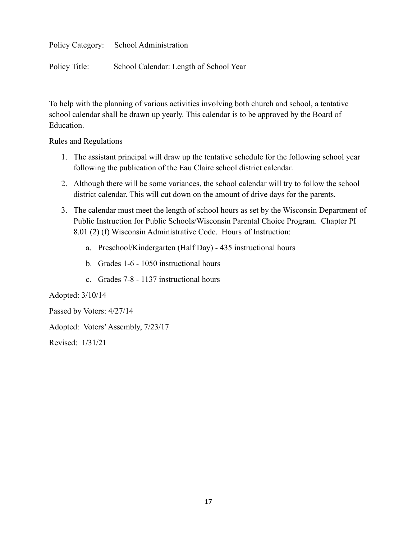Policy Category: School Administration

Policy Title: School Calendar: Length of School Year

To help with the planning of various activities involving both church and school, a tentative school calendar shall be drawn up yearly. This calendar is to be approved by the Board of Education.

Rules and Regulations

- 1. The assistant principal will draw up the tentative schedule for the following school year following the publication of the Eau Claire school district calendar.
- 2. Although there will be some variances, the school calendar will try to follow the school district calendar. This will cut down on the amount of drive days for the parents.
- 3. The calendar must meet the length of school hours as set by the Wisconsin Department of Public Instruction for Public Schools/Wisconsin Parental Choice Program. Chapter PI 8.01 (2) (f) Wisconsin Administrative Code. Hours of Instruction:
	- a. Preschool/Kindergarten (Half Day) 435 instructional hours
	- b. Grades 1-6 1050 instructional hours
	- c. Grades 7-8 1137 instructional hours

Adopted: 3/10/14

Passed by Voters: 4/27/14

Adopted: Voters'Assembly, 7/23/17

Revised: 1/31/21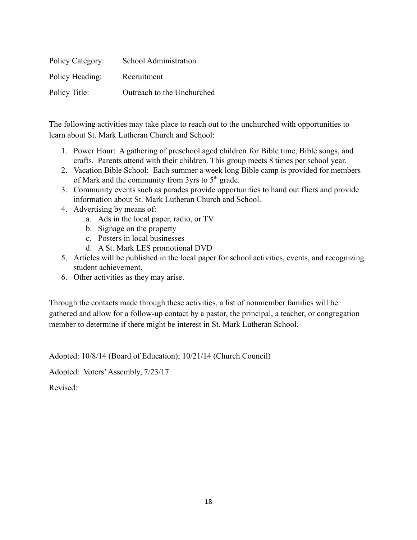| Policy Category: | School Administration      |
|------------------|----------------------------|
| Policy Heading:  | Recruitment                |
| Policy Title:    | Outreach to the Unchurched |

The following activities may take place to reach out to the unchurched with opportunities to learn about St. Mark Lutheran Church and School:

- 1. Power Hour: A gathering of preschool aged children for Bible time, Bible songs, and crafts. Parents attend with their children. This group meets 8 times per school year.
- 2. Vacation Bible School: Each summer a week long Bible camp is provided for members of Mark and the community from 3yrs to  $5<sup>th</sup>$  grade.
- 3. Community events such as parades provide opportunities to hand out fliers and provide information about St. Mark Lutheran Church and School.
- 4. Advertising by means of:
	- a. Ads in the local paper, radio, or TV
	- b. Signage on the property
	- c. Posters in local businesses
	- d. A St. Mark LES promotional DVD
- 5. Articles will be published in the local paper for school activities, events, and recognizing student achievement.
- 6. Other activities as they may arise.

Through the contacts made through these activities, a list of nonmember families will be gathered and allow for a follow-up contact by a pastor, the principal, a teacher, or congregation member to determine if there might be interest in St. Mark Lutheran School.

Adopted: 10/8/14 (Board of Education); 10/21/14 (Church Council)

Adopted: Voters'Assembly, 7/23/17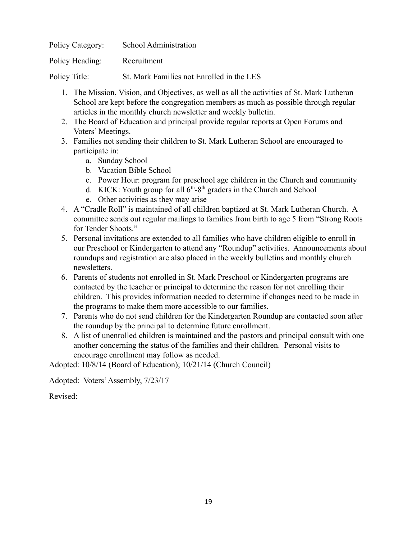| Policy Category: | School Administration                     |
|------------------|-------------------------------------------|
| Policy Heading:  | Recruitment                               |
| Policy Title:    | St. Mark Families not Enrolled in the LES |

- 1. The Mission, Vision, and Objectives, as well as all the activities of St. Mark Lutheran School are kept before the congregation members as much as possible through regular articles in the monthly church newsletter and weekly bulletin.
- 2. The Board of Education and principal provide regular reports at Open Forums and Voters' Meetings.
- 3. Families not sending their children to St. Mark Lutheran School are encouraged to participate in:
	- a. Sunday School
	- b. Vacation Bible School
	- c. Power Hour: program for preschool age children in the Church and community
	- d. KICK: Youth group for all  $6<sup>th</sup> 8<sup>th</sup>$  graders in the Church and School
	- e. Other activities as they may arise
- 4. A "Cradle Roll" is maintained of all children baptized at St. Mark Lutheran Church. A committee sends out regular mailings to families from birth to age 5 from "Strong Roots for Tender Shoots."
- 5. Personal invitations are extended to all families who have children eligible to enroll in our Preschool or Kindergarten to attend any "Roundup" activities. Announcements about roundups and registration are also placed in the weekly bulletins and monthly church newsletters.
- 6. Parents of students not enrolled in St. Mark Preschool or Kindergarten programs are contacted by the teacher or principal to determine the reason for not enrolling their children. This provides information needed to determine if changes need to be made in the programs to make them more accessible to our families.
- 7. Parents who do not send children for the Kindergarten Roundup are contacted soon after the roundup by the principal to determine future enrollment.
- 8. A list of unenrolled children is maintained and the pastors and principal consult with one another concerning the status of the families and their children. Personal visits to encourage enrollment may follow as needed.

Adopted: 10/8/14 (Board of Education); 10/21/14 (Church Council)

Adopted: Voters'Assembly, 7/23/17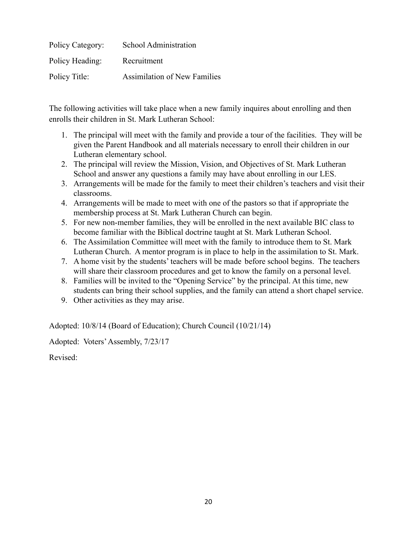| Policy Category: | School Administration               |
|------------------|-------------------------------------|
| Policy Heading:  | Recruitment                         |
| Policy Title:    | <b>Assimilation of New Families</b> |

The following activities will take place when a new family inquires about enrolling and then enrolls their children in St. Mark Lutheran School:

- 1. The principal will meet with the family and provide a tour of the facilities. They will be given the Parent Handbook and all materials necessary to enroll their children in our Lutheran elementary school.
- 2. The principal will review the Mission, Vision, and Objectives of St. Mark Lutheran School and answer any questions a family may have about enrolling in our LES.
- 3. Arrangements will be made for the family to meet their children's teachers and visit their classrooms.
- 4. Arrangements will be made to meet with one of the pastors so that if appropriate the membership process at St. Mark Lutheran Church can begin.
- 5. For new non-member families, they will be enrolled in the next available BIC class to become familiar with the Biblical doctrine taught at St. Mark Lutheran School.
- 6. The Assimilation Committee will meet with the family to introduce them to St. Mark Lutheran Church. A mentor program is in place to help in the assimilation to St. Mark.
- 7. A home visit by the students' teachers will be made before school begins. The teachers will share their classroom procedures and get to know the family on a personal level.
- 8. Families will be invited to the "Opening Service" by the principal. At this time, new students can bring their school supplies, and the family can attend a short chapel service.
- 9. Other activities as they may arise.

Adopted: 10/8/14 (Board of Education); Church Council (10/21/14)

Adopted: Voters'Assembly, 7/23/17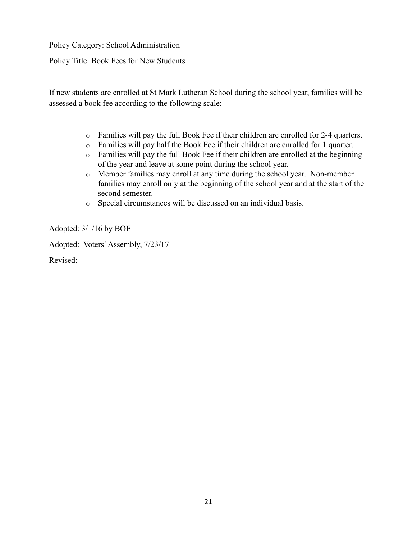Policy Category: School Administration

Policy Title: Book Fees for New Students

If new students are enrolled at St Mark Lutheran School during the school year, families will be assessed a book fee according to the following scale:

- o Families will pay the full Book Fee if their children are enrolled for 2-4 quarters.
- o Families will pay half the Book Fee if their children are enrolled for 1 quarter.
- o Families will pay the full Book Fee if their children are enrolled at the beginning of the year and leave at some point during the school year.
- o Member families may enroll at any time during the school year. Non-member families may enroll only at the beginning of the school year and at the start of the second semester.
- o Special circumstances will be discussed on an individual basis.

Adopted: 3/1/16 by BOE

Adopted: Voters'Assembly, 7/23/17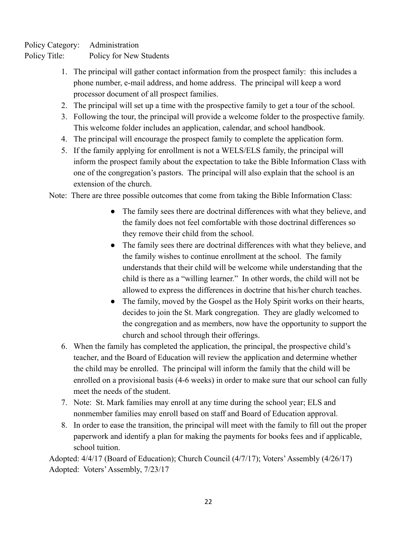Policy Category: Administration

Policy Title: Policy for New Students

- 1. The principal will gather contact information from the prospect family: this includes a phone number, e-mail address, and home address. The principal will keep a word processor document of all prospect families.
- 2. The principal will set up a time with the prospective family to get a tour of the school.
- 3. Following the tour, the principal will provide a welcome folder to the prospective family. This welcome folder includes an application, calendar, and school handbook.
- 4. The principal will encourage the prospect family to complete the application form.
- 5. If the family applying for enrollment is not a WELS/ELS family, the principal will inform the prospect family about the expectation to take the Bible Information Class with one of the congregation's pastors. The principal will also explain that the school is an extension of the church.

Note: There are three possible outcomes that come from taking the Bible Information Class:

- The family sees there are doctrinal differences with what they believe, and the family does not feel comfortable with those doctrinal differences so they remove their child from the school.
- The family sees there are doctrinal differences with what they believe, and the family wishes to continue enrollment at the school. The family understands that their child will be welcome while understanding that the child is there as a "willing learner." In other words, the child will not be allowed to express the differences in doctrine that his/her church teaches.
- The family, moved by the Gospel as the Holy Spirit works on their hearts, decides to join the St. Mark congregation. They are gladly welcomed to the congregation and as members, now have the opportunity to support the church and school through their offerings.
- 6. When the family has completed the application, the principal, the prospective child's teacher, and the Board of Education will review the application and determine whether the child may be enrolled. The principal will inform the family that the child will be enrolled on a provisional basis (4-6 weeks) in order to make sure that our school can fully meet the needs of the student.
- 7. Note: St. Mark families may enroll at any time during the school year; ELS and nonmember families may enroll based on staff and Board of Education approval.
- 8. In order to ease the transition, the principal will meet with the family to fill out the proper paperwork and identify a plan for making the payments for books fees and if applicable, school tuition.

Adopted: 4/4/17 (Board of Education); Church Council (4/7/17); Voters'Assembly (4/26/17) Adopted: Voters'Assembly, 7/23/17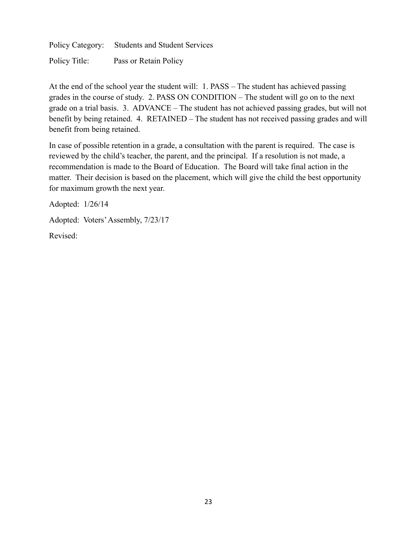Policy Category: Students and Student Services

Policy Title: Pass or Retain Policy

At the end of the school year the student will: 1. PASS – The student has achieved passing grades in the course of study. 2. PASS ON CONDITION – The student will go on to the next grade on a trial basis. 3. ADVANCE – The student has not achieved passing grades, but will not benefit by being retained. 4. RETAINED – The student has not received passing grades and will benefit from being retained.

In case of possible retention in a grade, a consultation with the parent is required. The case is reviewed by the child's teacher, the parent, and the principal. If a resolution is not made, a recommendation is made to the Board of Education. The Board will take final action in the matter. Their decision is based on the placement, which will give the child the best opportunity for maximum growth the next year.

Adopted: 1/26/14

Adopted: Voters'Assembly, 7/23/17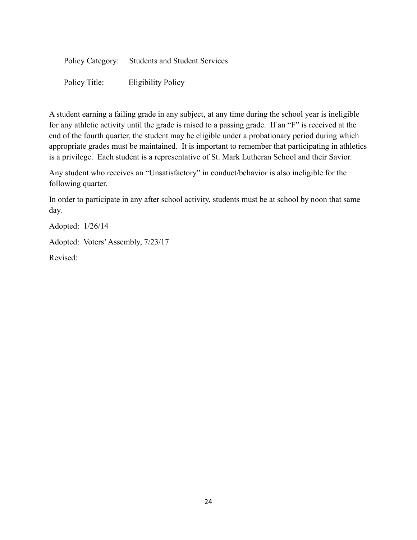| Policy Category: Students and Student Services |
|------------------------------------------------|
|                                                |

Policy Title: Eligibility Policy

A student earning a failing grade in any subject, at any time during the school year is ineligible for any athletic activity until the grade is raised to a passing grade. If an "F" is received at the end of the fourth quarter, the student may be eligible under a probationary period during which appropriate grades must be maintained. It is important to remember that participating in athletics is a privilege. Each student is a representative of St. Mark Lutheran School and their Savior.

Any student who receives an "Unsatisfactory" in conduct/behavior is also ineligible for the following quarter.

In order to participate in any after school activity, students must be at school by noon that same day.

Adopted: 1/26/14

Adopted: Voters'Assembly, 7/23/17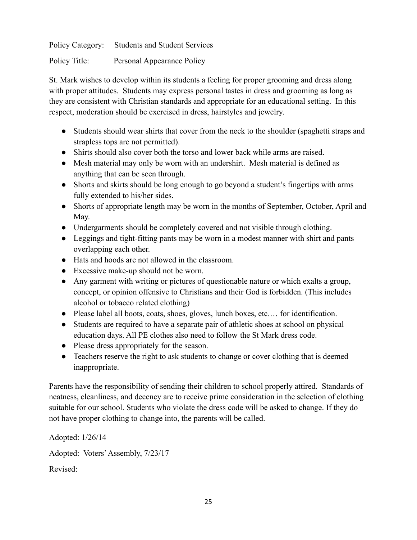Policy Category: Students and Student Services

Policy Title: Personal Appearance Policy

St. Mark wishes to develop within its students a feeling for proper grooming and dress along with proper attitudes. Students may express personal tastes in dress and grooming as long as they are consistent with Christian standards and appropriate for an educational setting. In this respect, moderation should be exercised in dress, hairstyles and jewelry.

- Students should wear shirts that cover from the neck to the shoulder (spaghetti straps and strapless tops are not permitted).
- Shirts should also cover both the torso and lower back while arms are raised.
- Mesh material may only be worn with an undershirt. Mesh material is defined as anything that can be seen through.
- Shorts and skirts should be long enough to go beyond a student's fingertips with arms fully extended to his/her sides.
- Shorts of appropriate length may be worn in the months of September, October, April and May.
- Undergarments should be completely covered and not visible through clothing.
- Leggings and tight-fitting pants may be worn in a modest manner with shirt and pants overlapping each other.
- Hats and hoods are not allowed in the classroom.
- Excessive make-up should not be worn.
- Any garment with writing or pictures of questionable nature or which exalts a group, concept, or opinion offensive to Christians and their God is forbidden. (This includes alcohol or tobacco related clothing)
- Please label all boots, coats, shoes, gloves, lunch boxes, etc.… for identification.
- Students are required to have a separate pair of athletic shoes at school on physical education days. All PE clothes also need to follow the St Mark dress code.
- Please dress appropriately for the season.
- Teachers reserve the right to ask students to change or cover clothing that is deemed inappropriate.

Parents have the responsibility of sending their children to school properly attired. Standards of neatness, cleanliness, and decency are to receive prime consideration in the selection of clothing suitable for our school. Students who violate the dress code will be asked to change. If they do not have proper clothing to change into, the parents will be called.

Adopted: 1/26/14 Adopted: Voters'Assembly, 7/23/17 Revised: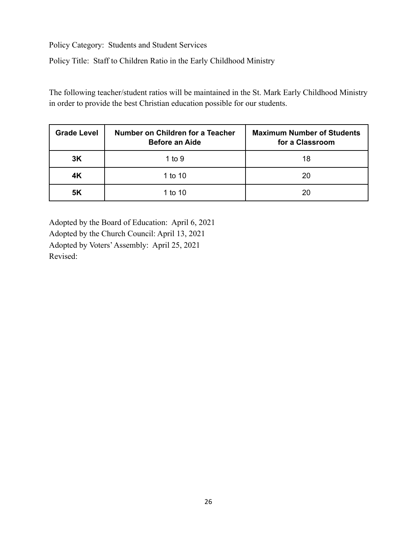Policy Category: Students and Student Services

Policy Title: Staff to Children Ratio in the Early Childhood Ministry

The following teacher/student ratios will be maintained in the St. Mark Early Childhood Ministry in order to provide the best Christian education possible for our students.

| <b>Grade Level</b> | Number on Children for a Teacher<br><b>Before an Aide</b> | <b>Maximum Number of Students</b><br>for a Classroom |
|--------------------|-----------------------------------------------------------|------------------------------------------------------|
| 3K                 | 1 to 9                                                    | 18                                                   |
| 4K                 | 1 to 10                                                   | 20                                                   |
| <b>5K</b>          | 1 to 10                                                   | 20                                                   |

Adopted by the Board of Education: April 6, 2021 Adopted by the Church Council: April 13, 2021 Adopted by Voters'Assembly: April 25, 2021 Revised: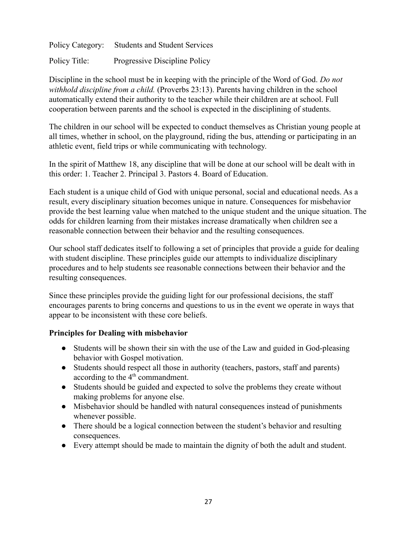Policy Category: Students and Student Services Policy Title: Progressive Discipline Policy

Discipline in the school must be in keeping with the principle of the Word of God. *Do not withhold discipline from a child.* (Proverbs 23:13). Parents having children in the school automatically extend their authority to the teacher while their children are at school. Full cooperation between parents and the school is expected in the disciplining of students.

The children in our school will be expected to conduct themselves as Christian young people at all times, whether in school, on the playground, riding the bus, attending or participating in an athletic event, field trips or while communicating with technology.

In the spirit of Matthew 18, any discipline that will be done at our school will be dealt with in this order: 1. Teacher 2. Principal 3. Pastors 4. Board of Education.

Each student is a unique child of God with unique personal, social and educational needs. As a result, every disciplinary situation becomes unique in nature. Consequences for misbehavior provide the best learning value when matched to the unique student and the unique situation. The odds for children learning from their mistakes increase dramatically when children see a reasonable connection between their behavior and the resulting consequences.

Our school staff dedicates itself to following a set of principles that provide a guide for dealing with student discipline. These principles guide our attempts to individualize disciplinary procedures and to help students see reasonable connections between their behavior and the resulting consequences.

Since these principles provide the guiding light for our professional decisions, the staff encourages parents to bring concerns and questions to us in the event we operate in ways that appear to be inconsistent with these core beliefs.

# **Principles for Dealing with misbehavior**

- Students will be shown their sin with the use of the Law and guided in God-pleasing behavior with Gospel motivation.
- Students should respect all those in authority (teachers, pastors, staff and parents) according to the  $4<sup>th</sup>$  commandment.
- Students should be guided and expected to solve the problems they create without making problems for anyone else.
- Misbehavior should be handled with natural consequences instead of punishments whenever possible.
- There should be a logical connection between the student's behavior and resulting consequences.
- Every attempt should be made to maintain the dignity of both the adult and student.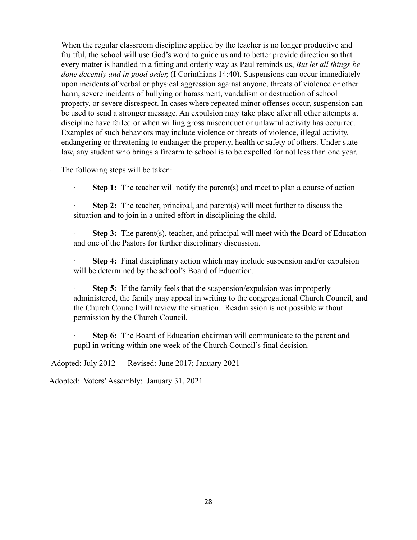When the regular classroom discipline applied by the teacher is no longer productive and fruitful, the school will use God's word to guide us and to better provide direction so that every matter is handled in a fitting and orderly way as Paul reminds us, *But let all things be done decently and in good order,* (I Corinthians 14:40). Suspensions can occur immediately upon incidents of verbal or physical aggression against anyone, threats of violence or other harm, severe incidents of bullying or harassment, vandalism or destruction of school property, or severe disrespect. In cases where repeated minor offenses occur, suspension can be used to send a stronger message. An expulsion may take place after all other attempts at discipline have failed or when willing gross misconduct or unlawful activity has occurred. Examples of such behaviors may include violence or threats of violence, illegal activity, endangering or threatening to endanger the property, health or safety of others. Under state law, any student who brings a firearm to school is to be expelled for not less than one year.

The following steps will be taken:

**Step 1:** The teacher will notify the parent(s) and meet to plan a course of action

**Step 2:** The teacher, principal, and parent(s) will meet further to discuss the situation and to join in a united effort in disciplining the child.

**Step 3:** The parent(s), teacher, and principal will meet with the Board of Education and one of the Pastors for further disciplinary discussion.

**Step 4:** Final disciplinary action which may include suspension and/or expulsion will be determined by the school's Board of Education.

**Step 5:** If the family feels that the suspension/expulsion was improperly administered, the family may appeal in writing to the congregational Church Council, and the Church Council will review the situation. Readmission is not possible without permission by the Church Council.

**Step 6:** The Board of Education chairman will communicate to the parent and pupil in writing within one week of the Church Council's final decision.

Adopted: July 2012 Revised: June 2017; January 2021

Adopted: Voters'Assembly: January 31, 2021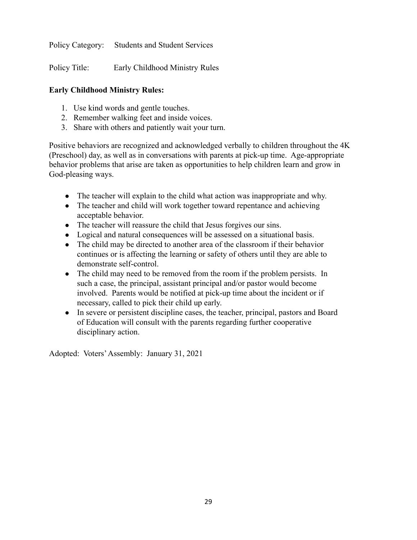Policy Category: Students and Student Services

Policy Title: Early Childhood Ministry Rules

# **Early Childhood Ministry Rules:**

- 1. Use kind words and gentle touches.
- 2. Remember walking feet and inside voices.
- 3. Share with others and patiently wait your turn.

Positive behaviors are recognized and acknowledged verbally to children throughout the 4K (Preschool) day, as well as in conversations with parents at pick-up time. Age-appropriate behavior problems that arise are taken as opportunities to help children learn and grow in God-pleasing ways.

- The teacher will explain to the child what action was inappropriate and why.
- The teacher and child will work together toward repentance and achieving acceptable behavior.
- The teacher will reassure the child that Jesus forgives our sins.
- Logical and natural consequences will be assessed on a situational basis.
- The child may be directed to another area of the classroom if their behavior continues or is affecting the learning or safety of others until they are able to demonstrate self-control.
- The child may need to be removed from the room if the problem persists. In such a case, the principal, assistant principal and/or pastor would become involved. Parents would be notified at pick-up time about the incident or if necessary, called to pick their child up early.
- In severe or persistent discipline cases, the teacher, principal, pastors and Board of Education will consult with the parents regarding further cooperative disciplinary action.

Adopted: Voters'Assembly: January 31, 2021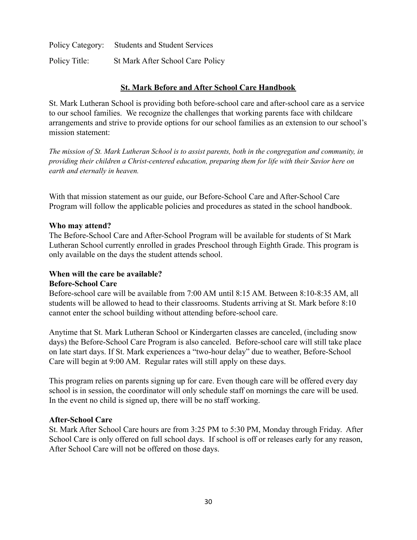| Policy Category: | <b>Students and Student Services</b> |
|------------------|--------------------------------------|
| Policy Title:    | St Mark After School Care Policy     |

#### **St. Mark Before and After School Care Handbook**

St. Mark Lutheran School is providing both before-school care and after-school care as a service to our school families. We recognize the challenges that working parents face with childcare arrangements and strive to provide options for our school families as an extension to our school's mission statement:

The mission of St. Mark Lutheran School is to assist parents, both in the congregation and community, in *providing their children a Christ-centered education, preparing them for life with their Savior here on earth and eternally in heaven.*

With that mission statement as our guide, our Before-School Care and After-School Care Program will follow the applicable policies and procedures as stated in the school handbook.

#### **Who may attend?**

The Before-School Care and After-School Program will be available for students of St Mark Lutheran School currently enrolled in grades Preschool through Eighth Grade. This program is only available on the days the student attends school.

# **When will the care be available?**

# **Before-School Care**

Before-school care will be available from 7:00 AM until 8:15 AM. Between 8:10-8:35 AM, all students will be allowed to head to their classrooms. Students arriving at St. Mark before 8:10 cannot enter the school building without attending before-school care.

Anytime that St. Mark Lutheran School or Kindergarten classes are canceled, (including snow days) the Before-School Care Program is also canceled. Before-school care will still take place on late start days. If St. Mark experiences a "two-hour delay" due to weather, Before-School Care will begin at 9:00 AM. Regular rates will still apply on these days.

This program relies on parents signing up for care. Even though care will be offered every day school is in session, the coordinator will only schedule staff on mornings the care will be used. In the event no child is signed up, there will be no staff working.

#### **After-School Care**

St. Mark After School Care hours are from 3:25 PM to 5:30 PM, Monday through Friday. After School Care is only offered on full school days. If school is off or releases early for any reason, After School Care will not be offered on those days.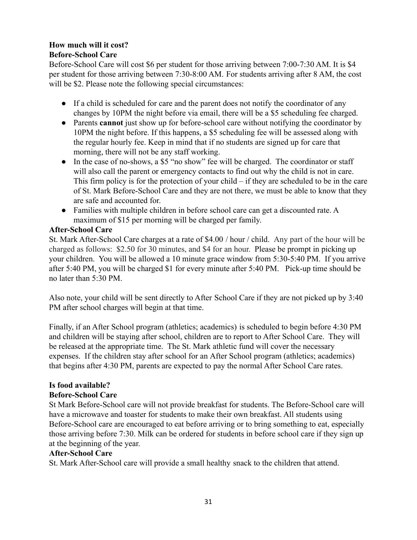# **How much will it cost?**

# **Before-School Care**

Before-School Care will cost \$6 per student for those arriving between 7:00-7:30 AM. It is \$4 per student for those arriving between 7:30-8:00 AM. For students arriving after 8 AM, the cost will be \$2. Please note the following special circumstances:

- If a child is scheduled for care and the parent does not notify the coordinator of any changes by 10PM the night before via email, there will be a \$5 scheduling fee charged.
- Parents **cannot** just show up for before-school care without notifying the coordinator by 10PM the night before. If this happens, a \$5 scheduling fee will be assessed along with the regular hourly fee. Keep in mind that if no students are signed up for care that morning, there will not be any staff working.
- In the case of no-shows, a \$5 "no show" fee will be charged. The coordinator or staff will also call the parent or emergency contacts to find out why the child is not in care. This firm policy is for the protection of your child – if they are scheduled to be in the care of St. Mark Before-School Care and they are not there, we must be able to know that they are safe and accounted for.
- Families with multiple children in before school care can get a discounted rate. A maximum of \$15 per morning will be charged per family.

# **After-School Care**

St. Mark After-School Care charges at a rate of \$4.00 / hour / child. Any part of the hour will be charged as follows: \$2.50 for 30 minutes, and \$4 for an hour. Please be prompt in picking up your children. You will be allowed a 10 minute grace window from 5:30-5:40 PM. If you arrive after 5:40 PM, you will be charged \$1 for every minute after 5:40 PM. Pick-up time should be no later than 5:30 PM.

Also note, your child will be sent directly to After School Care if they are not picked up by 3:40 PM after school charges will begin at that time.

Finally, if an After School program (athletics; academics) is scheduled to begin before 4:30 PM and children will be staying after school, children are to report to After School Care. They will be released at the appropriate time. The St. Mark athletic fund will cover the necessary expenses. If the children stay after school for an After School program (athletics; academics) that begins after 4:30 PM, parents are expected to pay the normal After School Care rates.

# **Is food available?**

# **Before-School Care**

St Mark Before-School care will not provide breakfast for students. The Before-School care will have a microwave and toaster for students to make their own breakfast. All students using Before-School care are encouraged to eat before arriving or to bring something to eat, especially those arriving before 7:30. Milk can be ordered for students in before school care if they sign up at the beginning of the year.

# **After-School Care**

St. Mark After-School care will provide a small healthy snack to the children that attend.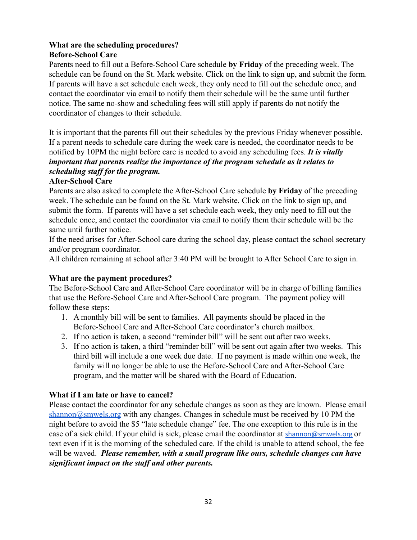# **What are the scheduling procedures?**

# **Before-School Care**

Parents need to fill out a Before-School Care schedule **by Friday** of the preceding week. The schedule can be found on the St. Mark website. Click on the link to sign up, and submit the form. If parents will have a set schedule each week, they only need to fill out the schedule once, and contact the coordinator via email to notify them their schedule will be the same until further notice. The same no-show and scheduling fees will still apply if parents do not notify the coordinator of changes to their schedule.

It is important that the parents fill out their schedules by the previous Friday whenever possible. If a parent needs to schedule care during the week care is needed, the coordinator needs to be notified by 10PM the night before care is needed to avoid any scheduling fees. *It is vitally important that parents realize the importance of the program schedule as it relates to scheduling staff for the program.*

# **After-School Care**

Parents are also asked to complete the After-School Care schedule **by Friday** of the preceding week. The schedule can be found on the St. Mark website. Click on the link to sign up, and submit the form. If parents will have a set schedule each week, they only need to fill out the schedule once, and contact the coordinator via email to notify them their schedule will be the same until further notice.

If the need arises for After-School care during the school day, please contact the school secretary and/or program coordinator.

All children remaining at school after 3:40 PM will be brought to After School Care to sign in.

# **What are the payment procedures?**

The Before-School Care and After-School Care coordinator will be in charge of billing families that use the Before-School Care and After-School Care program. The payment policy will follow these steps:

- 1. A monthly bill will be sent to families. All payments should be placed in the Before-School Care and After-School Care coordinator's church mailbox.
- 2. If no action is taken, a second "reminder bill" will be sent out after two weeks.
- 3. If no action is taken, a third "reminder bill" will be sent out again after two weeks. This third bill will include a one week due date. If no payment is made within one week, the family will no longer be able to use the Before-School Care and After-School Care program, and the matter will be shared with the Board of Education.

# **What if I am late or have to cancel?**

Please contact the coordinator for any schedule changes as soon as they are known. Please email [shannon@smwels.org](mailto:shannon@smwels.org) with any changes. Changes in schedule must be received by 10 PM the night before to avoid the \$5 "late schedule change" fee. The one exception to this rule is in the case of a sick child. If your child is sick, please email the coordinator at [shannon@smwels.org](mailto:shannon@smwels.org) or text even if it is the morning of the scheduled care. If the child is unable to attend school, the fee will be waved. *Please remember, with a small program like ours, schedule changes can have significant impact on the staff and other parents.*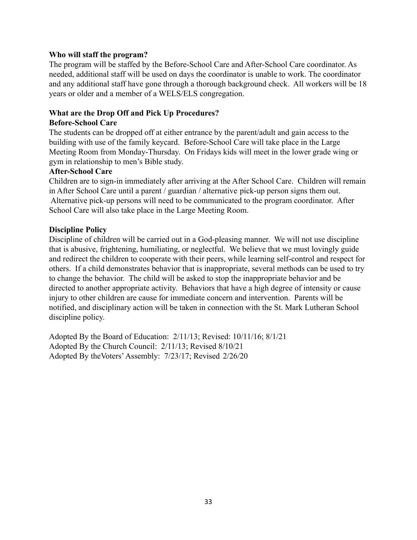#### **Who will staff the program?**

The program will be staffed by the Before-School Care and After-School Care coordinator. As needed, additional staff will be used on days the coordinator is unable to work. The coordinator and any additional staff have gone through a thorough background check. All workers will be 18 years or older and a member of a WELS/ELS congregation.

#### **What are the Drop Off and Pick Up Procedures?**

#### **Before-School Care**

The students can be dropped off at either entrance by the parent/adult and gain access to the building with use of the family keycard. Before-School Care will take place in the Large Meeting Room from Monday-Thursday. On Fridays kids will meet in the lower grade wing or gym in relationship to men's Bible study.

#### **After-School Care**

Children are to sign-in immediately after arriving at the After School Care. Children will remain in After School Care until a parent / guardian / alternative pick-up person signs them out. Alternative pick-up persons will need to be communicated to the program coordinator. After School Care will also take place in the Large Meeting Room.

#### **Discipline Policy**

Discipline of children will be carried out in a God-pleasing manner. We will not use discipline that is abusive, frightening, humiliating, or neglectful. We believe that we must lovingly guide and redirect the children to cooperate with their peers, while learning self-control and respect for others. If a child demonstrates behavior that is inappropriate, several methods can be used to try to change the behavior. The child will be asked to stop the inappropriate behavior and be directed to another appropriate activity. Behaviors that have a high degree of intensity or cause injury to other children are cause for immediate concern and intervention. Parents will be notified, and disciplinary action will be taken in connection with the St. Mark Lutheran School discipline policy.

Adopted By the Board of Education: 2/11/13; Revised: 10/11/16; 8/1/21 Adopted By the Church Council: 2/11/13; Revised 8/10/21 Adopted By theVoters'Assembly: 7/23/17; Revised 2/26/20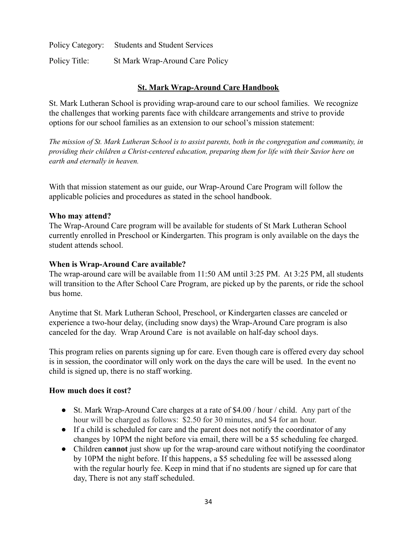Policy Category: Students and Student Services Policy Title: St Mark Wrap-Around Care Policy

# **St. Mark Wrap-Around Care Handbook**

St. Mark Lutheran School is providing wrap-around care to our school families. We recognize the challenges that working parents face with childcare arrangements and strive to provide options for our school families as an extension to our school's mission statement:

The mission of St. Mark Lutheran School is to assist parents, both in the congregation and community, in *providing their children a Christ-centered education, preparing them for life with their Savior here on earth and eternally in heaven.*

With that mission statement as our guide, our Wrap-Around Care Program will follow the applicable policies and procedures as stated in the school handbook.

#### **Who may attend?**

The Wrap-Around Care program will be available for students of St Mark Lutheran School currently enrolled in Preschool or Kindergarten. This program is only available on the days the student attends school.

#### **When is Wrap-Around Care available?**

The wrap-around care will be available from 11:50 AM until 3:25 PM. At 3:25 PM, all students will transition to the After School Care Program, are picked up by the parents, or ride the school bus home.

Anytime that St. Mark Lutheran School, Preschool, or Kindergarten classes are canceled or experience a two-hour delay, (including snow days) the Wrap-Around Care program is also canceled for the day. Wrap Around Care is not available on half-day school days.

This program relies on parents signing up for care. Even though care is offered every day school is in session, the coordinator will only work on the days the care will be used. In the event no child is signed up, there is no staff working.

#### **How much does it cost?**

- St. Mark Wrap-Around Care charges at a rate of \$4.00 / hour / child. Any part of the hour will be charged as follows: \$2.50 for 30 minutes, and \$4 for an hour.
- If a child is scheduled for care and the parent does not notify the coordinator of any changes by 10PM the night before via email, there will be a \$5 scheduling fee charged.
- Children **cannot** just show up for the wrap-around care without notifying the coordinator by 10PM the night before. If this happens, a \$5 scheduling fee will be assessed along with the regular hourly fee. Keep in mind that if no students are signed up for care that day, There is not any staff scheduled.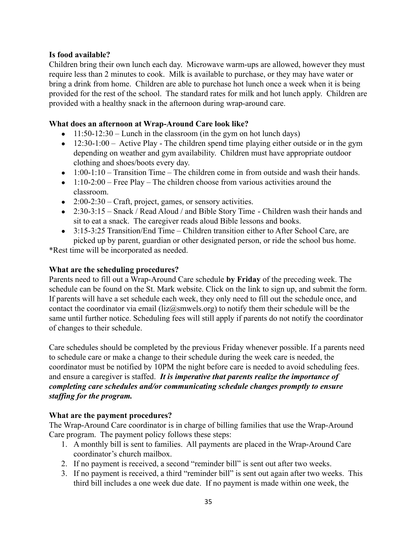#### **Is food available?**

Children bring their own lunch each day. Microwave warm-ups are allowed, however they must require less than 2 minutes to cook. Milk is available to purchase, or they may have water or bring a drink from home. Children are able to purchase hot lunch once a week when it is being provided for the rest of the school. The standard rates for milk and hot lunch apply. Children are provided with a healthy snack in the afternoon during wrap-around care.

#### **What does an afternoon at Wrap-Around Care look like?**

- $\bullet$  11:50-12:30 Lunch in the classroom (in the gym on hot lunch days)
- $\bullet$  12:30-1:00 Active Play The children spend time playing either outside or in the gym depending on weather and gym availability. Children must have appropriate outdoor clothing and shoes/boots every day.
- $\bullet$  1:00-1:10 Transition Time The children come in from outside and wash their hands.
- $\bullet$  1:10-2:00 Free Play The children choose from various activities around the classroom.
- $\bullet$  2:00-2:30 Craft, project, games, or sensory activities.
- 2:30-3:15 Snack / Read Aloud / and Bible Story Time Children wash their hands and sit to eat a snack. The caregiver reads aloud Bible lessons and books.
- $\bullet$  3:15-3:25 Transition/End Time Children transition either to After School Care, are picked up by parent, guardian or other designated person, or ride the school bus home.

\*Rest time will be incorporated as needed.

#### **What are the scheduling procedures?**

Parents need to fill out a Wrap-Around Care schedule **by Friday** of the preceding week. The schedule can be found on the St. Mark website. Click on the link to sign up, and submit the form. If parents will have a set schedule each week, they only need to fill out the schedule once, and contact the coordinator via email ( $liz@smwels.org$ ) to notify them their schedule will be the same until further notice. Scheduling fees will still apply if parents do not notify the coordinator of changes to their schedule.

Care schedules should be completed by the previous Friday whenever possible. If a parents need to schedule care or make a change to their schedule during the week care is needed, the coordinator must be notified by 10PM the night before care is needed to avoid scheduling fees. and ensure a caregiver is staffed. *It is imperative that parents realize the importance of completing care schedules and/or communicating schedule changes promptly to ensure staffing for the program.*

# **What are the payment procedures?**

The Wrap-Around Care coordinator is in charge of billing families that use the Wrap-Around Care program. The payment policy follows these steps:

- 1. A monthly bill is sent to families. All payments are placed in the Wrap-Around Care coordinator's church mailbox.
- 2. If no payment is received, a second "reminder bill" is sent out after two weeks.
- 3. If no payment is received, a third "reminder bill" is sent out again after two weeks. This third bill includes a one week due date. If no payment is made within one week, the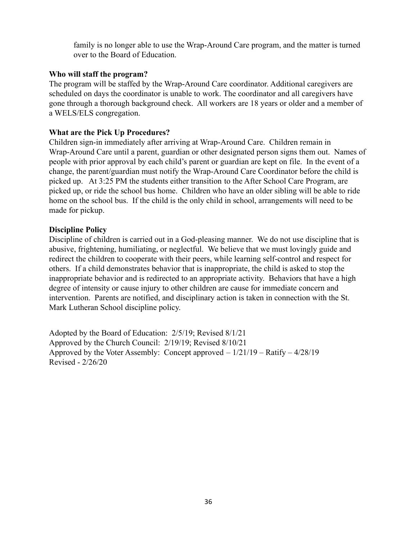family is no longer able to use the Wrap-Around Care program, and the matter is turned over to the Board of Education.

#### **Who will staff the program?**

The program will be staffed by the Wrap-Around Care coordinator. Additional caregivers are scheduled on days the coordinator is unable to work. The coordinator and all caregivers have gone through a thorough background check. All workers are 18 years or older and a member of a WELS/ELS congregation.

#### **What are the Pick Up Procedures?**

Children sign-in immediately after arriving at Wrap-Around Care. Children remain in Wrap-Around Care until a parent, guardian or other designated person signs them out. Names of people with prior approval by each child's parent or guardian are kept on file. In the event of a change, the parent/guardian must notify the Wrap-Around Care Coordinator before the child is picked up. At 3:25 PM the students either transition to the After School Care Program, are picked up, or ride the school bus home. Children who have an older sibling will be able to ride home on the school bus. If the child is the only child in school, arrangements will need to be made for pickup.

#### **Discipline Policy**

Discipline of children is carried out in a God-pleasing manner. We do not use discipline that is abusive, frightening, humiliating, or neglectful. We believe that we must lovingly guide and redirect the children to cooperate with their peers, while learning self-control and respect for others. If a child demonstrates behavior that is inappropriate, the child is asked to stop the inappropriate behavior and is redirected to an appropriate activity. Behaviors that have a high degree of intensity or cause injury to other children are cause for immediate concern and intervention. Parents are notified, and disciplinary action is taken in connection with the St. Mark Lutheran School discipline policy.

Adopted by the Board of Education: 2/5/19; Revised 8/1/21 Approved by the Church Council: 2/19/19; Revised 8/10/21 Approved by the Voter Assembly: Concept approved  $-1/21/19$  – Ratify  $-4/28/19$ Revised - 2/26/20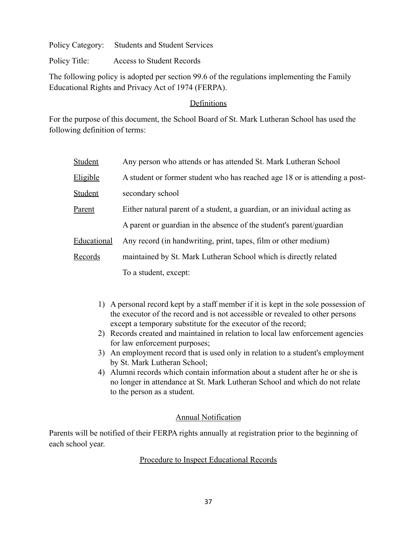Policy Title: Access to Student Records

The following policy is adopted per section 99.6 of the regulations implementing the Family Educational Rights and Privacy Act of 1974 (FERPA).

## Definitions

For the purpose of this document, the School Board of St. Mark Lutheran School has used the following definition of terms:

| Student     | Any person who attends or has attended St. Mark Lutheran School            |
|-------------|----------------------------------------------------------------------------|
| Eligible    | A student or former student who has reached age 18 or is attending a post- |
| Student     | secondary school                                                           |
| Parent      | Either natural parent of a student, a guardian, or an inividual acting as  |
|             | A parent or guardian in the absence of the student's parent/guardian       |
| Educational | Any record (in handwriting, print, tapes, film or other medium)            |
| Records     | maintained by St. Mark Lutheran School which is directly related           |
|             | To a student, except:                                                      |

- 1) A personal record kept by a staff member if it is kept in the sole possession of the executor of the record and is not accessible or revealed to other persons except a temporary substitute for the executor of the record;
- 2) Records created and maintained in relation to local law enforcement agencies for law enforcement purposes;
- 3) An employment record that is used only in relation to a student's employment by St. Mark Lutheran School;
- 4) Alumni records which contain information about a student after he or she is no longer in attendance at St. Mark Lutheran School and which do not relate to the person as a student.

# Annual Notification

Parents will be notified of their FERPA rights annually at registration prior to the beginning of each school year.

# Procedure to Inspect Educational Records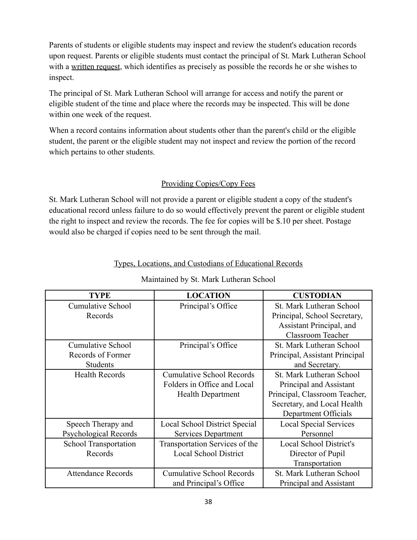Parents of students or eligible students may inspect and review the student's education records upon request. Parents or eligible students must contact the principal of St. Mark Lutheran School with a written request, which identifies as precisely as possible the records he or she wishes to inspect.

The principal of St. Mark Lutheran School will arrange for access and notify the parent or eligible student of the time and place where the records may be inspected. This will be done within one week of the request.

When a record contains information about students other than the parent's child or the eligible student, the parent or the eligible student may not inspect and review the portion of the record which pertains to other students.

## Providing Copies/Copy Fees

St. Mark Lutheran School will not provide a parent or eligible student a copy of the student's educational record unless failure to do so would effectively prevent the parent or eligible student the right to inspect and review the records. The fee for copies will be \$.10 per sheet. Postage would also be charged if copies need to be sent through the mail.

| <b>TYPE</b>               | <b>LOCATION</b>                  | <b>CUSTODIAN</b>               |
|---------------------------|----------------------------------|--------------------------------|
| Cumulative School         | Principal's Office               | St. Mark Lutheran School       |
| Records                   |                                  | Principal, School Secretary,   |
|                           |                                  | Assistant Principal, and       |
|                           |                                  | <b>Classroom Teacher</b>       |
| Cumulative School         | Principal's Office               | St. Mark Lutheran School       |
| Records of Former         |                                  | Principal, Assistant Principal |
| <b>Students</b>           |                                  | and Secretary.                 |
| <b>Health Records</b>     | <b>Cumulative School Records</b> | St. Mark Lutheran School       |
|                           | Folders in Office and Local      | Principal and Assistant        |
|                           | <b>Health Department</b>         | Principal, Classroom Teacher,  |
|                           |                                  | Secretary, and Local Health    |
|                           |                                  | Department Officials           |
| Speech Therapy and        | Local School District Special    | <b>Local Special Services</b>  |
| Psychological Records     | Services Department              | Personnel                      |
| School Transportation     | Transportation Services of the   | <b>Local School District's</b> |
| Records                   | <b>Local School District</b>     | Director of Pupil              |
|                           |                                  | Transportation                 |
| <b>Attendance Records</b> | <b>Cumulative School Records</b> | St. Mark Lutheran School       |
|                           | and Principal's Office           | Principal and Assistant        |

## Types, Locations, and Custodians of Educational Records

# Maintained by St. Mark Lutheran School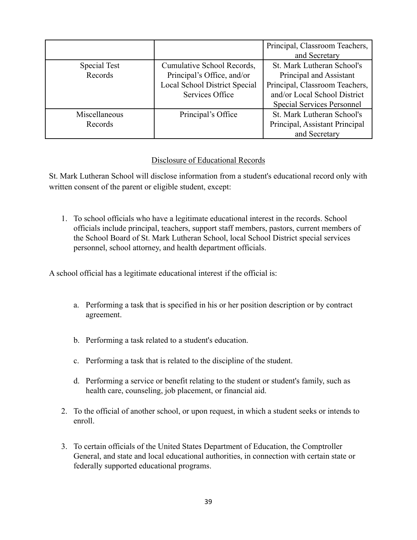|                          |                                                                                                                     | Principal, Classroom Teachers,<br>and Secretary                                                                                                              |
|--------------------------|---------------------------------------------------------------------------------------------------------------------|--------------------------------------------------------------------------------------------------------------------------------------------------------------|
| Special Test<br>Records  | Cumulative School Records,<br>Principal's Office, and/or<br><b>Local School District Special</b><br>Services Office | St. Mark Lutheran School's<br>Principal and Assistant<br>Principal, Classroom Teachers,<br>and/or Local School District<br><b>Special Services Personnel</b> |
| Miscellaneous<br>Records | Principal's Office                                                                                                  | St. Mark Lutheran School's<br>Principal, Assistant Principal<br>and Secretary                                                                                |

## Disclosure of Educational Records

St. Mark Lutheran School will disclose information from a student's educational record only with written consent of the parent or eligible student, except:

1. To school officials who have a legitimate educational interest in the records. School officials include principal, teachers, support staff members, pastors, current members of the School Board of St. Mark Lutheran School, local School District special services personnel, school attorney, and health department officials.

A school official has a legitimate educational interest if the official is:

- a. Performing a task that is specified in his or her position description or by contract agreement.
- b. Performing a task related to a student's education.
- c. Performing a task that is related to the discipline of the student.
- d. Performing a service or benefit relating to the student or student's family, such as health care, counseling, job placement, or financial aid.
- 2. To the official of another school, or upon request, in which a student seeks or intends to enroll.
- 3. To certain officials of the United States Department of Education, the Comptroller General, and state and local educational authorities, in connection with certain state or federally supported educational programs.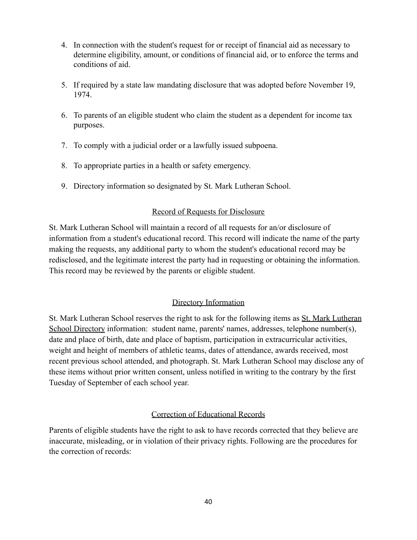- 4. In connection with the student's request for or receipt of financial aid as necessary to determine eligibility, amount, or conditions of financial aid, or to enforce the terms and conditions of aid.
- 5. If required by a state law mandating disclosure that was adopted before November 19, 1974.
- 6. To parents of an eligible student who claim the student as a dependent for income tax purposes.
- 7. To comply with a judicial order or a lawfully issued subpoena.
- 8. To appropriate parties in a health or safety emergency.
- 9. Directory information so designated by St. Mark Lutheran School.

## Record of Requests for Disclosure

St. Mark Lutheran School will maintain a record of all requests for an/or disclosure of information from a student's educational record. This record will indicate the name of the party making the requests, any additional party to whom the student's educational record may be redisclosed, and the legitimate interest the party had in requesting or obtaining the information. This record may be reviewed by the parents or eligible student.

# Directory Information

St. Mark Lutheran School reserves the right to ask for the following items as St. Mark Lutheran School Directory information: student name, parents' names, addresses, telephone number(s), date and place of birth, date and place of baptism, participation in extracurricular activities, weight and height of members of athletic teams, dates of attendance, awards received, most recent previous school attended, and photograph. St. Mark Lutheran School may disclose any of these items without prior written consent, unless notified in writing to the contrary by the first Tuesday of September of each school year.

## Correction of Educational Records

Parents of eligible students have the right to ask to have records corrected that they believe are inaccurate, misleading, or in violation of their privacy rights. Following are the procedures for the correction of records: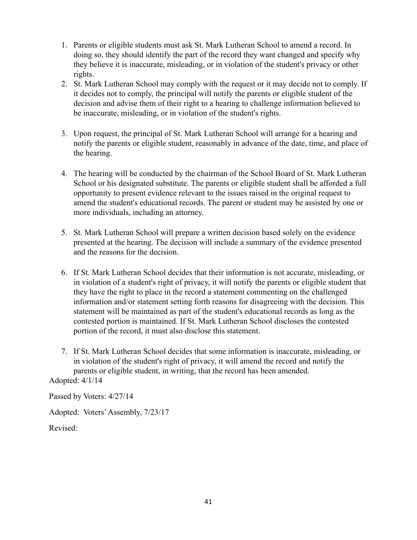- 1. Parents or eligible students must ask St. Mark Lutheran School to amend a record. In doing so, they should identify the part of the record they want changed and specify why they believe it is inaccurate, misleading, or in violation of the student's privacy or other rights.
- 2. St. Mark Lutheran School may comply with the request or it may decide not to comply. If it decides not to comply, the principal will notify the parents or eligible student of the decision and advise them of their right to a hearing to challenge information believed to be inaccurate, misleading, or in violation of the student's rights.
- 3. Upon request, the principal of St. Mark Lutheran School will arrange for a hearing and notify the parents or eligible student, reasonably in advance of the date, time, and place of the hearing.
- 4. The hearing will be conducted by the chairman of the School Board of St. Mark Lutheran School or his designated substitute. The parents or eligible student shall be afforded a full opportunity to present evidence relevant to the issues raised in the original request to amend the student's educational records. The parent or student may be assisted by one or more individuals, including an attorney.
- 5. St. Mark Lutheran School will prepare a written decision based solely on the evidence presented at the hearing. The decision will include a summary of the evidence presented and the reasons for the decision.
- 6. If St. Mark Lutheran School decides that their information is not accurate, misleading, or in violation of a student's right of privacy, it will notify the parents or eligible student that they have the right to place in the record a statement commenting on the challenged information and/or statement setting forth reasons for disagreeing with the decision. This statement will be maintained as part of the student's educational records as long as the contested portion is maintained. If St. Mark Lutheran School discloses the contested portion of the record, it must also disclose this statement.
- 7. If St. Mark Lutheran School decides that some information is inaccurate, misleading, or in violation of the student's right of privacy, it will amend the record and notify the parents or eligible student, in writing, that the record has been amended.

Adopted: 4/1/14

Passed by Voters: 4/27/14

Adopted: Voters'Assembly, 7/23/17

Revised: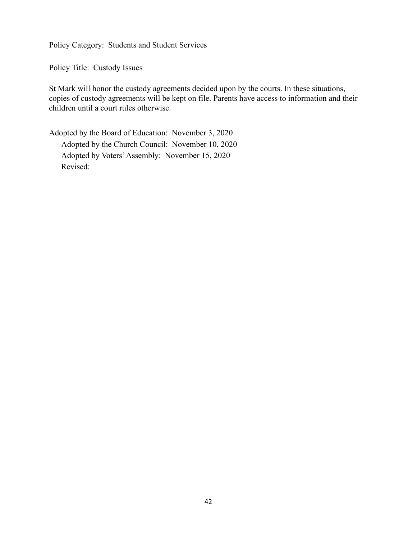Policy Title: Custody Issues

St Mark will honor the custody agreements decided upon by the courts. In these situations, copies of custody agreements will be kept on file. Parents have access to information and their children until a court rules otherwise.

Adopted by the Board of Education: November 3, 2020 Adopted by the Church Council: November 10, 2020 Adopted by Voters'Assembly: November 15, 2020 Revised: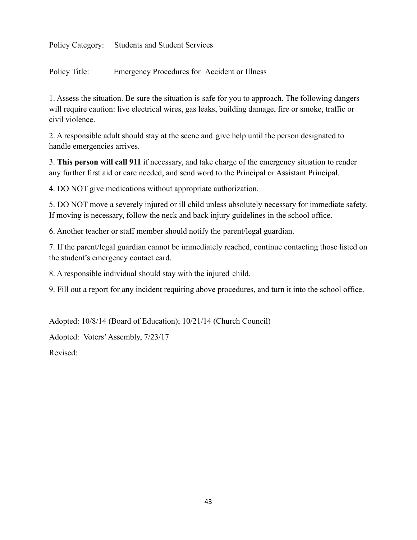Policy Title: Emergency Procedures for Accident or Illness

1. Assess the situation. Be sure the situation is safe for you to approach. The following dangers will require caution: live electrical wires, gas leaks, building damage, fire or smoke, traffic or civil violence.

2. A responsible adult should stay at the scene and give help until the person designated to handle emergencies arrives.

3. **This person will call 911** if necessary, and take charge of the emergency situation to render any further first aid or care needed, and send word to the Principal or Assistant Principal.

4. DO NOT give medications without appropriate authorization.

5. DO NOT move a severely injured or ill child unless absolutely necessary for immediate safety. If moving is necessary, follow the neck and back injury guidelines in the school office.

6. Another teacher or staff member should notify the parent/legal guardian.

7. If the parent/legal guardian cannot be immediately reached, continue contacting those listed on the student's emergency contact card.

8. A responsible individual should stay with the injured child.

9. Fill out a report for any incident requiring above procedures, and turn it into the school office.

Adopted: 10/8/14 (Board of Education); 10/21/14 (Church Council)

Adopted: Voters'Assembly, 7/23/17

Revised: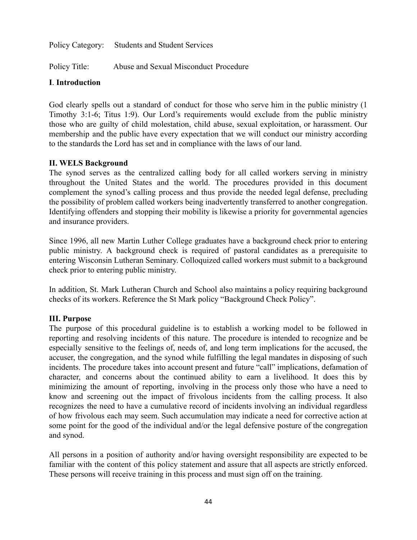Policy Title: Abuse and Sexual Misconduct Procedure

## **I**. **Introduction**

God clearly spells out a standard of conduct for those who serve him in the public ministry (1 Timothy 3:1-6; Titus 1:9). Our Lord's requirements would exclude from the public ministry those who are guilty of child molestation, child abuse, sexual exploitation, or harassment. Our membership and the public have every expectation that we will conduct our ministry according to the standards the Lord has set and in compliance with the laws of our land.

## **II. WELS Background**

The synod serves as the centralized calling body for all called workers serving in ministry throughout the United States and the world. The procedures provided in this document complement the synod's calling process and thus provide the needed legal defense, precluding the possibility of problem called workers being inadvertently transferred to another congregation. Identifying offenders and stopping their mobility is likewise a priority for governmental agencies and insurance providers.

Since 1996, all new Martin Luther College graduates have a background check prior to entering public ministry. A background check is required of pastoral candidates as a prerequisite to entering Wisconsin Lutheran Seminary. Colloquized called workers must submit to a background check prior to entering public ministry.

In addition, St. Mark Lutheran Church and School also maintains a policy requiring background checks of its workers. Reference the St Mark policy "Background Check Policy".

# **III. Purpose**

The purpose of this procedural guideline is to establish a working model to be followed in reporting and resolving incidents of this nature. The procedure is intended to recognize and be especially sensitive to the feelings of, needs of, and long term implications for the accused, the accuser, the congregation, and the synod while fulfilling the legal mandates in disposing of such incidents. The procedure takes into account present and future "call" implications, defamation of character, and concerns about the continued ability to earn a livelihood. It does this by minimizing the amount of reporting, involving in the process only those who have a need to know and screening out the impact of frivolous incidents from the calling process. It also recognizes the need to have a cumulative record of incidents involving an individual regardless of how frivolous each may seem. Such accumulation may indicate a need for corrective action at some point for the good of the individual and/or the legal defensive posture of the congregation and synod.

All persons in a position of authority and/or having oversight responsibility are expected to be familiar with the content of this policy statement and assure that all aspects are strictly enforced. These persons will receive training in this process and must sign off on the training.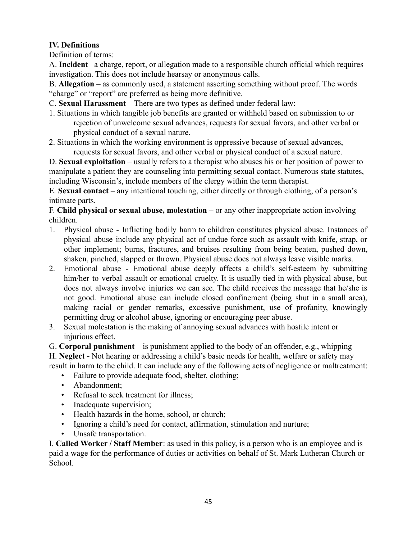# **IV. Definitions**

Definition of terms:

A. **Incident** –a charge, report, or allegation made to a responsible church official which requires investigation. This does not include hearsay or anonymous calls.

B. **Allegation** – as commonly used, a statement asserting something without proof. The words "charge" or "report" are preferred as being more definitive.

C. **Sexual Harassment** – There are two types as defined under federal law:

- 1. Situations in which tangible job benefits are granted or withheld based on submission to or rejection of unwelcome sexual advances, requests for sexual favors, and other verbal or physical conduct of a sexual nature.
- 2. Situations in which the working environment is oppressive because of sexual advances, requests for sexual favors, and other verbal or physical conduct of a sexual nature.

D. **Sexual exploitation** – usually refers to a therapist who abuses his or her position of power to manipulate a patient they are counseling into permitting sexual contact. Numerous state statutes, including Wisconsin's, include members of the clergy within the term therapist.

E. **Sexual contact** – any intentional touching, either directly or through clothing, of a person's intimate parts.

F. **Child physical or sexual abuse, molestation** – or any other inappropriate action involving children.

- 1. Physical abuse Inflicting bodily harm to children constitutes physical abuse. Instances of physical abuse include any physical act of undue force such as assault with knife, strap, or other implement; burns, fractures, and bruises resulting from being beaten, pushed down, shaken, pinched, slapped or thrown. Physical abuse does not always leave visible marks.
- 2. Emotional abuse Emotional abuse deeply affects a child's self-esteem by submitting him/her to verbal assault or emotional cruelty. It is usually tied in with physical abuse, but does not always involve injuries we can see. The child receives the message that he/she is not good. Emotional abuse can include closed confinement (being shut in a small area), making racial or gender remarks, excessive punishment, use of profanity, knowingly permitting drug or alcohol abuse, ignoring or encouraging peer abuse.
- 3. Sexual molestation is the making of annoying sexual advances with hostile intent or injurious effect.

G. **Corporal punishment** – is punishment applied to the body of an offender, e.g., whipping

H. **Neglect -** Not hearing or addressing a child's basic needs for health, welfare or safety may

result in harm to the child. It can include any of the following acts of negligence or maltreatment:

- Failure to provide adequate food, shelter, clothing;
- Abandonment;
- Refusal to seek treatment for illness;
- Inadequate supervision;
- Health hazards in the home, school, or church;
- Ignoring a child's need for contact, affirmation, stimulation and nurture;
- Unsafe transportation.

I. **Called Worker / Staff Member**: as used in this policy, is a person who is an employee and is paid a wage for the performance of duties or activities on behalf of St. Mark Lutheran Church or School.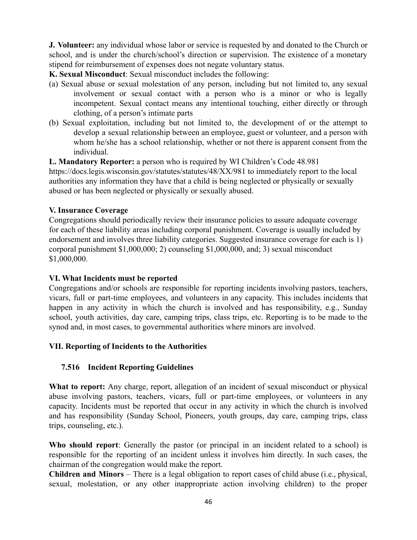**J. Volunteer:** any individual whose labor or service is requested by and donated to the Church or school, and is under the church/school's direction or supervision. The existence of a monetary stipend for reimbursement of expenses does not negate voluntary status.

**K. Sexual Misconduct**: Sexual misconduct includes the following:

- (a) Sexual abuse or sexual molestation of any person, including but not limited to, any sexual involvement or sexual contact with a person who is a minor or who is legally incompetent. Sexual contact means any intentional touching, either directly or through clothing, of a person's intimate parts
- (b) Sexual exploitation, including but not limited to, the development of or the attempt to develop a sexual relationship between an employee, guest or volunteer, and a person with whom he/she has a school relationship, whether or not there is apparent consent from the individual.

**L. Mandatory Reporter:** a person who is required by WI Children's Code 48.981 <https://docs.legis.wisconsin.gov/statutes/statutes/48/XX/981> to immediately report to the local authorities any information they have that a child is being neglected or physically or sexually abused or has been neglected or physically or sexually abused.

#### **V. Insurance Coverage**

Congregations should periodically review their insurance policies to assure adequate coverage for each of these liability areas including corporal punishment. Coverage is usually included by endorsement and involves three liability categories. Suggested insurance coverage for each is 1) corporal punishment \$1,000,000; 2) counseling \$1,000,000, and; 3) sexual misconduct \$1,000,000.

## **VI. What Incidents must be reported**

Congregations and/or schools are responsible for reporting incidents involving pastors, teachers, vicars, full or part-time employees, and volunteers in any capacity. This includes incidents that happen in any activity in which the church is involved and has responsibility, e.g., Sunday school, youth activities, day care, camping trips, class trips, etc. Reporting is to be made to the synod and, in most cases, to governmental authorities where minors are involved.

## **VII. Reporting of Incidents to the Authorities**

## **7.516 Incident Reporting Guidelines**

**What to report:** Any charge, report, allegation of an incident of sexual misconduct or physical abuse involving pastors, teachers, vicars, full or part-time employees, or volunteers in any capacity. Incidents must be reported that occur in any activity in which the church is involved and has responsibility (Sunday School, Pioneers, youth groups, day care, camping trips, class trips, counseling, etc.).

**Who should report**: Generally the pastor (or principal in an incident related to a school) is responsible for the reporting of an incident unless it involves him directly. In such cases, the chairman of the congregation would make the report.

**Children and Minors** – There is a legal obligation to report cases of child abuse (i.e., physical, sexual, molestation, or any other inappropriate action involving children) to the proper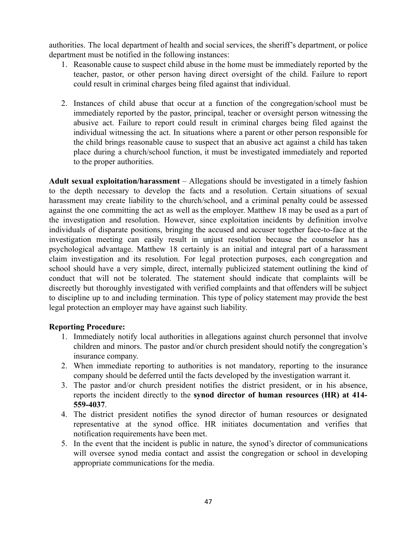authorities. The local department of health and social services, the sheriff's department, or police department must be notified in the following instances:

- 1. Reasonable cause to suspect child abuse in the home must be immediately reported by the teacher, pastor, or other person having direct oversight of the child. Failure to report could result in criminal charges being filed against that individual.
- 2. Instances of child abuse that occur at a function of the congregation/school must be immediately reported by the pastor, principal, teacher or oversight person witnessing the abusive act. Failure to report could result in criminal charges being filed against the individual witnessing the act. In situations where a parent or other person responsible for the child brings reasonable cause to suspect that an abusive act against a child has taken place during a church/school function, it must be investigated immediately and reported to the proper authorities.

**Adult sexual exploitation/harassment** – Allegations should be investigated in a timely fashion to the depth necessary to develop the facts and a resolution. Certain situations of sexual harassment may create liability to the church/school, and a criminal penalty could be assessed against the one committing the act as well as the employer. Matthew 18 may be used as a part of the investigation and resolution. However, since exploitation incidents by definition involve individuals of disparate positions, bringing the accused and accuser together face-to-face at the investigation meeting can easily result in unjust resolution because the counselor has a psychological advantage. Matthew 18 certainly is an initial and integral part of a harassment claim investigation and its resolution. For legal protection purposes, each congregation and school should have a very simple, direct, internally publicized statement outlining the kind of conduct that will not be tolerated. The statement should indicate that complaints will be discreetly but thoroughly investigated with verified complaints and that offenders will be subject to discipline up to and including termination. This type of policy statement may provide the best legal protection an employer may have against such liability.

## **Reporting Procedure:**

- 1. Immediately notify local authorities in allegations against church personnel that involve children and minors. The pastor and/or church president should notify the congregation's insurance company.
- 2. When immediate reporting to authorities is not mandatory, reporting to the insurance company should be deferred until the facts developed by the investigation warrant it.
- 3. The pastor and/or church president notifies the district president, or in his absence, reports the incident directly to the **synod director of human resources (HR) at 414- 559-4037**.
- 4. The district president notifies the synod director of human resources or designated representative at the synod office. HR initiates documentation and verifies that notification requirements have been met.
- 5. In the event that the incident is public in nature, the synod's director of communications will oversee synod media contact and assist the congregation or school in developing appropriate communications for the media.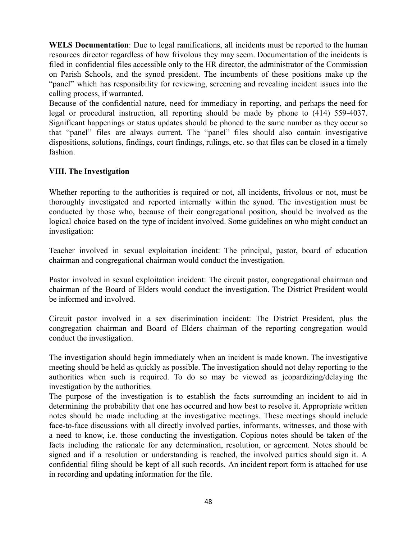**WELS Documentation**: Due to legal ramifications, all incidents must be reported to the human resources director regardless of how frivolous they may seem. Documentation of the incidents is filed in confidential files accessible only to the HR director, the administrator of the Commission on Parish Schools, and the synod president. The incumbents of these positions make up the "panel" which has responsibility for reviewing, screening and revealing incident issues into the calling process, if warranted.

Because of the confidential nature, need for immediacy in reporting, and perhaps the need for legal or procedural instruction, all reporting should be made by phone to (414) 559-4037. Significant happenings or status updates should be phoned to the same number as they occur so that "panel" files are always current. The "panel" files should also contain investigative dispositions, solutions, findings, court findings, rulings, etc. so that files can be closed in a timely fashion.

## **VIII. The Investigation**

Whether reporting to the authorities is required or not, all incidents, frivolous or not, must be thoroughly investigated and reported internally within the synod. The investigation must be conducted by those who, because of their congregational position, should be involved as the logical choice based on the type of incident involved. Some guidelines on who might conduct an investigation:

Teacher involved in sexual exploitation incident: The principal, pastor, board of education chairman and congregational chairman would conduct the investigation.

Pastor involved in sexual exploitation incident: The circuit pastor, congregational chairman and chairman of the Board of Elders would conduct the investigation. The District President would be informed and involved.

Circuit pastor involved in a sex discrimination incident: The District President, plus the congregation chairman and Board of Elders chairman of the reporting congregation would conduct the investigation.

The investigation should begin immediately when an incident is made known. The investigative meeting should be held as quickly as possible. The investigation should not delay reporting to the authorities when such is required. To do so may be viewed as jeopardizing/delaying the investigation by the authorities.

The purpose of the investigation is to establish the facts surrounding an incident to aid in determining the probability that one has occurred and how best to resolve it. Appropriate written notes should be made including at the investigative meetings. These meetings should include face-to-face discussions with all directly involved parties, informants, witnesses, and those with a need to know, i.e. those conducting the investigation. Copious notes should be taken of the facts including the rationale for any determination, resolution, or agreement. Notes should be signed and if a resolution or understanding is reached, the involved parties should sign it. A confidential filing should be kept of all such records. An incident report form is attached for use in recording and updating information for the file.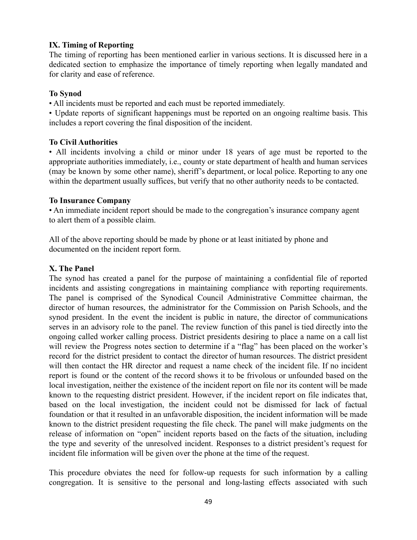## **IX. Timing of Reporting**

The timing of reporting has been mentioned earlier in various sections. It is discussed here in a dedicated section to emphasize the importance of timely reporting when legally mandated and for clarity and ease of reference.

#### **To Synod**

• All incidents must be reported and each must be reported immediately.

• Update reports of significant happenings must be reported on an ongoing realtime basis. This includes a report covering the final disposition of the incident.

#### **To Civil Authorities**

• All incidents involving a child or minor under 18 years of age must be reported to the appropriate authorities immediately, i.e., county or state department of health and human services (may be known by some other name), sheriff's department, or local police. Reporting to any one within the department usually suffices, but verify that no other authority needs to be contacted.

#### **To Insurance Company**

• An immediate incident report should be made to the congregation's insurance company agent to alert them of a possible claim.

All of the above reporting should be made by phone or at least initiated by phone and documented on the incident report form.

## **X. The Panel**

The synod has created a panel for the purpose of maintaining a confidential file of reported incidents and assisting congregations in maintaining compliance with reporting requirements. The panel is comprised of the Synodical Council Administrative Committee chairman, the director of human resources, the administrator for the Commission on Parish Schools, and the synod president. In the event the incident is public in nature, the director of communications serves in an advisory role to the panel. The review function of this panel is tied directly into the ongoing called worker calling process. District presidents desiring to place a name on a call list will review the Progress notes section to determine if a "flag" has been placed on the worker's record for the district president to contact the director of human resources. The district president will then contact the HR director and request a name check of the incident file. If no incident report is found or the content of the record shows it to be frivolous or unfounded based on the local investigation, neither the existence of the incident report on file nor its content will be made known to the requesting district president. However, if the incident report on file indicates that, based on the local investigation, the incident could not be dismissed for lack of factual foundation or that it resulted in an unfavorable disposition, the incident information will be made known to the district president requesting the file check. The panel will make judgments on the release of information on "open" incident reports based on the facts of the situation, including the type and severity of the unresolved incident. Responses to a district president's request for incident file information will be given over the phone at the time of the request.

This procedure obviates the need for follow-up requests for such information by a calling congregation. It is sensitive to the personal and long-lasting effects associated with such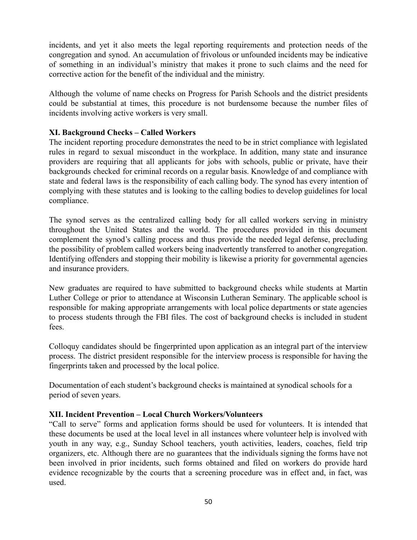incidents, and yet it also meets the legal reporting requirements and protection needs of the congregation and synod. An accumulation of frivolous or unfounded incidents may be indicative of something in an individual's ministry that makes it prone to such claims and the need for corrective action for the benefit of the individual and the ministry.

Although the volume of name checks on Progress for Parish Schools and the district presidents could be substantial at times, this procedure is not burdensome because the number files of incidents involving active workers is very small.

## **XI. Background Checks – Called Workers**

The incident reporting procedure demonstrates the need to be in strict compliance with legislated rules in regard to sexual misconduct in the workplace. In addition, many state and insurance providers are requiring that all applicants for jobs with schools, public or private, have their backgrounds checked for criminal records on a regular basis. Knowledge of and compliance with state and federal laws is the responsibility of each calling body. The synod has every intention of complying with these statutes and is looking to the calling bodies to develop guidelines for local compliance.

The synod serves as the centralized calling body for all called workers serving in ministry throughout the United States and the world. The procedures provided in this document complement the synod's calling process and thus provide the needed legal defense, precluding the possibility of problem called workers being inadvertently transferred to another congregation. Identifying offenders and stopping their mobility is likewise a priority for governmental agencies and insurance providers.

New graduates are required to have submitted to background checks while students at Martin Luther College or prior to attendance at Wisconsin Lutheran Seminary. The applicable school is responsible for making appropriate arrangements with local police departments or state agencies to process students through the FBI files. The cost of background checks is included in student fees.

Colloquy candidates should be fingerprinted upon application as an integral part of the interview process. The district president responsible for the interview process is responsible for having the fingerprints taken and processed by the local police.

Documentation of each student's background checks is maintained at synodical schools for a period of seven years.

## **XII. Incident Prevention – Local Church Workers/Volunteers**

"Call to serve" forms and application forms should be used for volunteers. It is intended that these documents be used at the local level in all instances where volunteer help is involved with youth in any way, e.g., Sunday School teachers, youth activities, leaders, coaches, field trip organizers, etc. Although there are no guarantees that the individuals signing the forms have not been involved in prior incidents, such forms obtained and filed on workers do provide hard evidence recognizable by the courts that a screening procedure was in effect and, in fact, was used.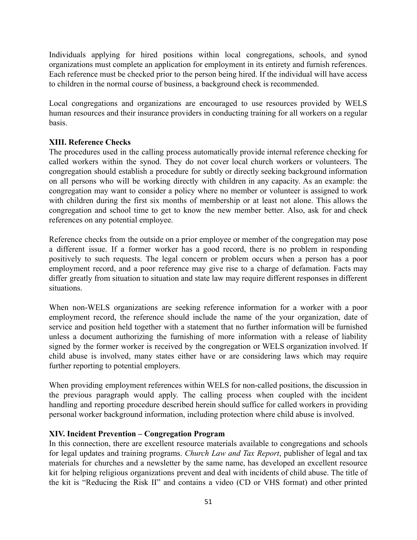Individuals applying for hired positions within local congregations, schools, and synod organizations must complete an application for employment in its entirety and furnish references. Each reference must be checked prior to the person being hired. If the individual will have access to children in the normal course of business, a background check is recommended.

Local congregations and organizations are encouraged to use resources provided by WELS human resources and their insurance providers in conducting training for all workers on a regular basis.

## **XIII. Reference Checks**

The procedures used in the calling process automatically provide internal reference checking for called workers within the synod. They do not cover local church workers or volunteers. The congregation should establish a procedure for subtly or directly seeking background information on all persons who will be working directly with children in any capacity. As an example: the congregation may want to consider a policy where no member or volunteer is assigned to work with children during the first six months of membership or at least not alone. This allows the congregation and school time to get to know the new member better. Also, ask for and check references on any potential employee.

Reference checks from the outside on a prior employee or member of the congregation may pose a different issue. If a former worker has a good record, there is no problem in responding positively to such requests. The legal concern or problem occurs when a person has a poor employment record, and a poor reference may give rise to a charge of defamation. Facts may differ greatly from situation to situation and state law may require different responses in different situations.

When non-WELS organizations are seeking reference information for a worker with a poor employment record, the reference should include the name of the your organization, date of service and position held together with a statement that no further information will be furnished unless a document authorizing the furnishing of more information with a release of liability signed by the former worker is received by the congregation or WELS organization involved. If child abuse is involved, many states either have or are considering laws which may require further reporting to potential employers.

When providing employment references within WELS for non-called positions, the discussion in the previous paragraph would apply. The calling process when coupled with the incident handling and reporting procedure described herein should suffice for called workers in providing personal worker background information, including protection where child abuse is involved.

## **XIV. Incident Prevention – Congregation Program**

In this connection, there are excellent resource materials available to congregations and schools for legal updates and training programs. *Church Law and Tax Report*, publisher of legal and tax materials for churches and a newsletter by the same name, has developed an excellent resource kit for helping religious organizations prevent and deal with incidents of child abuse. The title of the kit is "Reducing the Risk II" and contains a video (CD or VHS format) and other printed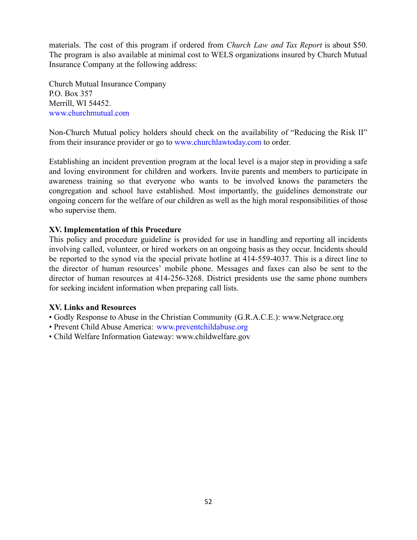materials. The cost of this program if ordered from *Church Law and Tax Report* is about \$50. The program is also available at minimal cost to WELS organizations insured by Church Mutual Insurance Company at the following address:

Church Mutual Insurance Company P.O. Box 357 Merrill, WI 54452. www.churchmutual.com

Non-Church Mutual policy holders should check on the availability of "Reducing the Risk II" from their insurance provider or go to www.churchlawtoday.com to order.

Establishing an incident prevention program at the local level is a major step in providing a safe and loving environment for children and workers. Invite parents and members to participate in awareness training so that everyone who wants to be involved knows the parameters the congregation and school have established. Most importantly, the guidelines demonstrate our ongoing concern for the welfare of our children as well as the high moral responsibilities of those who supervise them.

## **XV. Implementation of this Procedure**

This policy and procedure guideline is provided for use in handling and reporting all incidents involving called, volunteer, or hired workers on an ongoing basis as they occur. Incidents should be reported to the synod via the special private hotline at 414-559-4037. This is a direct line to the director of human resources' mobile phone. Messages and faxes can also be sent to the director of human resources at 414-256-3268. District presidents use the same phone numbers for seeking incident information when preparing call lists.

## **XV. Links and Resources**

- Godly Response to Abuse in the Christian Community (G.R.A.C.E.): www.Netgrace.org
- Prevent Child Abuse America: www.preventchildabuse.org
- Child Welfare Information Gateway: www.childwelfare.gov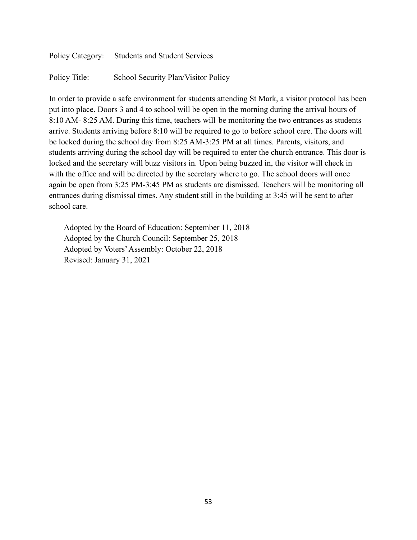Policy Category: Students and Student Services Policy Title: School Security Plan/Visitor Policy

In order to provide a safe environment for students attending St Mark, a visitor protocol has been put into place. Doors 3 and 4 to school will be open in the morning during the arrival hours of 8:10 AM- 8:25 AM. During this time, teachers will be monitoring the two entrances as students arrive. Students arriving before 8:10 will be required to go to before school care. The doors will be locked during the school day from 8:25 AM-3:25 PM at all times. Parents, visitors, and students arriving during the school day will be required to enter the church entrance. This door is locked and the secretary will buzz visitors in. Upon being buzzed in, the visitor will check in with the office and will be directed by the secretary where to go. The school doors will once again be open from 3:25 PM-3:45 PM as students are dismissed. Teachers will be monitoring all entrances during dismissal times. Any student still in the building at 3:45 will be sent to after school care.

Adopted by the Board of Education: September 11, 2018 Adopted by the Church Council: September 25, 2018 Adopted by Voters'Assembly: October 22, 2018 Revised: January 31, 2021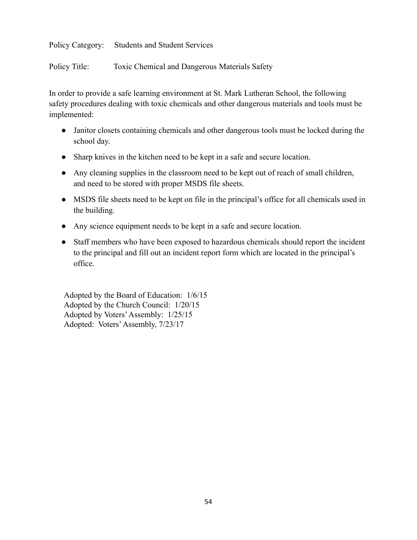Policy Title: Toxic Chemical and Dangerous Materials Safety

In order to provide a safe learning environment at St. Mark Lutheran School, the following safety procedures dealing with toxic chemicals and other dangerous materials and tools must be implemented:

- Janitor closets containing chemicals and other dangerous tools must be locked during the school day.
- Sharp knives in the kitchen need to be kept in a safe and secure location.
- Any cleaning supplies in the classroom need to be kept out of reach of small children, and need to be stored with proper MSDS file sheets.
- MSDS file sheets need to be kept on file in the principal's office for all chemicals used in the building.
- Any science equipment needs to be kept in a safe and secure location.
- Staff members who have been exposed to hazardous chemicals should report the incident to the principal and fill out an incident report form which are located in the principal's office.

Adopted by the Board of Education: 1/6/15 Adopted by the Church Council: 1/20/15 Adopted by Voters'Assembly: 1/25/15 Adopted: Voters'Assembly, 7/23/17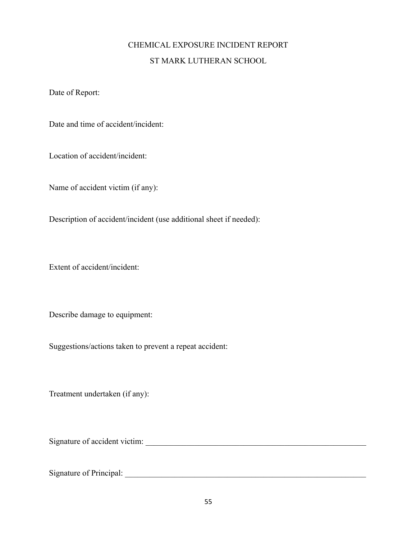# CHEMICAL EXPOSURE INCIDENT REPORT ST MARK LUTHERAN SCHOOL

Date of Report:

Date and time of accident/incident:

Location of accident/incident:

Name of accident victim (if any):

Description of accident/incident (use additional sheet if needed):

Extent of accident/incident:

Describe damage to equipment:

Suggestions/actions taken to prevent a repeat accident:

Treatment undertaken (if any):

Signature of accident victim: \_\_\_\_\_\_\_\_\_\_\_\_\_\_\_\_\_\_\_\_\_\_\_\_\_\_\_\_\_\_\_\_\_\_\_\_\_\_\_\_\_\_\_\_\_\_\_\_\_\_\_\_\_\_

Signature of Principal: \_\_\_\_\_\_\_\_\_\_\_\_\_\_\_\_\_\_\_\_\_\_\_\_\_\_\_\_\_\_\_\_\_\_\_\_\_\_\_\_\_\_\_\_\_\_\_\_\_\_\_\_\_\_\_\_\_\_\_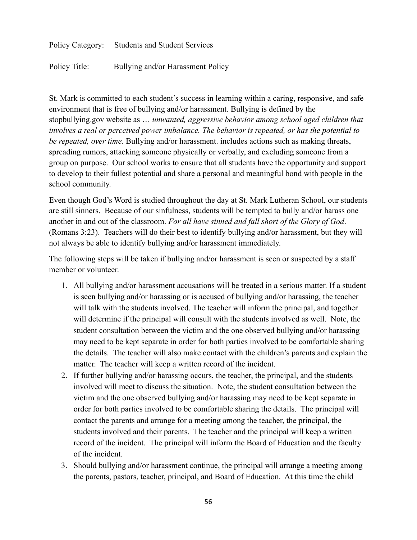Policy Title: Bullying and/or Harassment Policy

St. Mark is committed to each student's success in learning within a caring, responsive, and safe environment that is free of bullying and/or harassment. Bullying is defined by the stopbullying.gov website as … *unwanted, aggressive behavior among school aged children that involves a real or perceived power imbalance. The behavior is repeated, or has the potential to be repeated, over time.* Bullying and/or harassment. includes actions such as making threats, spreading rumors, attacking someone physically or verbally, and excluding someone from a group on purpose. Our school works to ensure that all students have the opportunity and support to develop to their fullest potential and share a personal and meaningful bond with people in the school community.

Even though God's Word is studied throughout the day at St. Mark Lutheran School, our students are still sinners. Because of our sinfulness, students will be tempted to bully and/or harass one another in and out of the classroom. *For all have sinned and fall short of the Glory of God*. (Romans 3:23). Teachers will do their best to identify bullying and/or harassment, but they will not always be able to identify bullying and/or harassment immediately.

The following steps will be taken if bullying and/or harassment is seen or suspected by a staff member or volunteer.

- 1. All bullying and/or harassment accusations will be treated in a serious matter. If a student is seen bullying and/or harassing or is accused of bullying and/or harassing, the teacher will talk with the students involved. The teacher will inform the principal, and together will determine if the principal will consult with the students involved as well. Note, the student consultation between the victim and the one observed bullying and/or harassing may need to be kept separate in order for both parties involved to be comfortable sharing the details. The teacher will also make contact with the children's parents and explain the matter. The teacher will keep a written record of the incident.
- 2. If further bullying and/or harassing occurs, the teacher, the principal, and the students involved will meet to discuss the situation. Note, the student consultation between the victim and the one observed bullying and/or harassing may need to be kept separate in order for both parties involved to be comfortable sharing the details. The principal will contact the parents and arrange for a meeting among the teacher, the principal, the students involved and their parents. The teacher and the principal will keep a written record of the incident. The principal will inform the Board of Education and the faculty of the incident.
- 3. Should bullying and/or harassment continue, the principal will arrange a meeting among the parents, pastors, teacher, principal, and Board of Education. At this time the child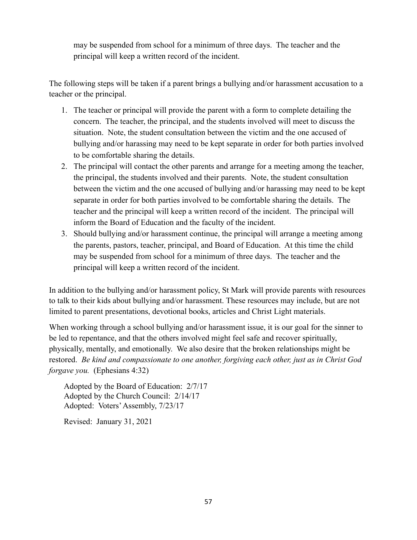may be suspended from school for a minimum of three days. The teacher and the principal will keep a written record of the incident.

The following steps will be taken if a parent brings a bullying and/or harassment accusation to a teacher or the principal.

- 1. The teacher or principal will provide the parent with a form to complete detailing the concern. The teacher, the principal, and the students involved will meet to discuss the situation. Note, the student consultation between the victim and the one accused of bullying and/or harassing may need to be kept separate in order for both parties involved to be comfortable sharing the details.
- 2. The principal will contact the other parents and arrange for a meeting among the teacher, the principal, the students involved and their parents. Note, the student consultation between the victim and the one accused of bullying and/or harassing may need to be kept separate in order for both parties involved to be comfortable sharing the details. The teacher and the principal will keep a written record of the incident. The principal will inform the Board of Education and the faculty of the incident.
- 3. Should bullying and/or harassment continue, the principal will arrange a meeting among the parents, pastors, teacher, principal, and Board of Education. At this time the child may be suspended from school for a minimum of three days. The teacher and the principal will keep a written record of the incident.

In addition to the bullying and/or harassment policy, St Mark will provide parents with resources to talk to their kids about bullying and/or harassment. These resources may include, but are not limited to parent presentations, devotional books, articles and Christ Light materials.

When working through a school bullying and/or harassment issue, it is our goal for the sinner to be led to repentance, and that the others involved might feel safe and recover spiritually, physically, mentally, and emotionally. We also desire that the broken relationships might be restored. *Be kind and compassionate to one another, forgiving each other, just as in Christ God forgave you.* (Ephesians 4:32)

Adopted by the Board of Education: 2/7/17 Adopted by the Church Council: 2/14/17 Adopted: Voters'Assembly, 7/23/17

Revised: January 31, 2021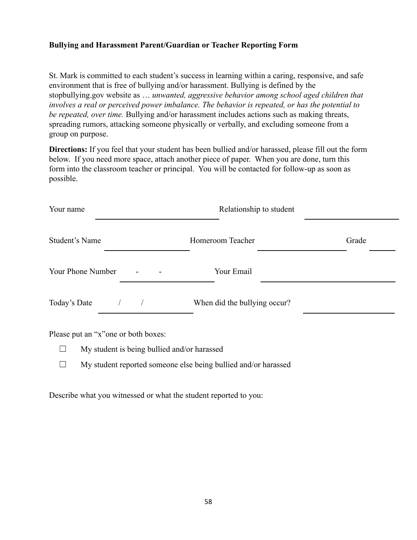# **Bullying and Harassment Parent/Guardian or Teacher Reporting Form**

St. Mark is committed to each student's success in learning within a caring, responsive, and safe environment that is free of bullying and/or harassment. Bullying is defined by the stopbullying.gov website as … *unwanted, aggressive behavior among school aged children that involves a real or perceived power imbalance. The behavior is repeated, or has the potential to be repeated, over time.* Bullying and/or harassment includes actions such as making threats, spreading rumors, attacking someone physically or verbally, and excluding someone from a group on purpose.

**Directions:** If you feel that your student has been bullied and/or harassed, please fill out the form below. If you need more space, attach another piece of paper. When you are done, turn this form into the classroom teacher or principal. You will be contacted for follow-up as soon as possible.

| Your name                                                                           | Relationship to student      |       |  |
|-------------------------------------------------------------------------------------|------------------------------|-------|--|
| Student's Name                                                                      | Homeroom Teacher             | Grade |  |
| Your Phone Number                                                                   | Your Email                   |       |  |
| Today's Date                                                                        | When did the bullying occur? |       |  |
| Please put an "x" one or both boxes:<br>My student is being bullied and/or harassed |                              |       |  |

 $\Box$  My student reported someone else being bullied and/or harassed

Describe what you witnessed or what the student reported to you: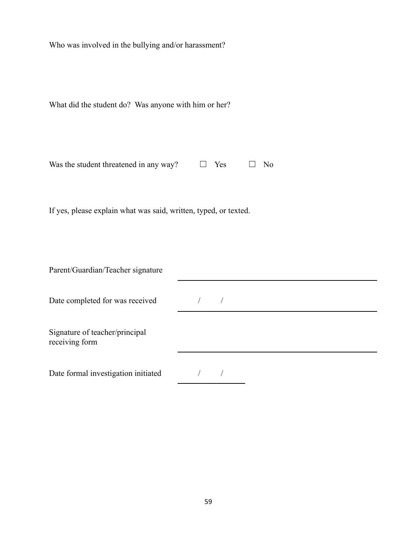Who was involved in the bullying and/or harassment?

| Was the student threatened in any way? | $\Box$ Yes | $\square$ No |  |
|----------------------------------------|------------|--------------|--|
|                                        |            |              |  |

If yes, please explain what was said, written, typed, or texted.

Parent/Guardian/Teacher signature

| Date completed for was received |  |  |  |
|---------------------------------|--|--|--|
|                                 |  |  |  |

 $\begin{array}{c|c} \hline \end{array}$ 

Signature of teacher/principal receiving form

Date formal investigation initiated  $\frac{1}{2}$  /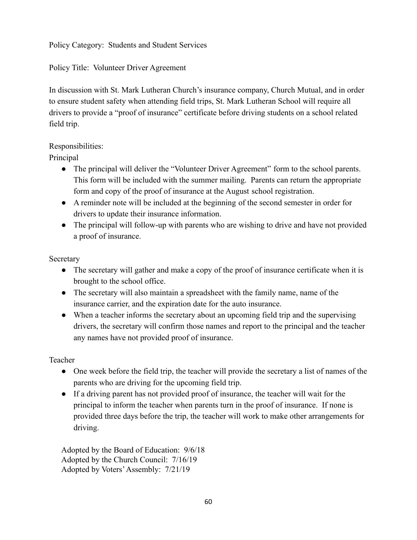Policy Title: Volunteer Driver Agreement

In discussion with St. Mark Lutheran Church's insurance company, Church Mutual, and in order to ensure student safety when attending field trips, St. Mark Lutheran School will require all drivers to provide a "proof of insurance" certificate before driving students on a school related field trip.

# Responsibilities:

Principal

- The principal will deliver the "Volunteer Driver Agreement" form to the school parents. This form will be included with the summer mailing. Parents can return the appropriate form and copy of the proof of insurance at the August school registration.
- A reminder note will be included at the beginning of the second semester in order for drivers to update their insurance information.
- The principal will follow-up with parents who are wishing to drive and have not provided a proof of insurance.

## Secretary

- The secretary will gather and make a copy of the proof of insurance certificate when it is brought to the school office.
- The secretary will also maintain a spreadsheet with the family name, name of the insurance carrier, and the expiration date for the auto insurance.
- When a teacher informs the secretary about an upcoming field trip and the supervising drivers, the secretary will confirm those names and report to the principal and the teacher any names have not provided proof of insurance.

## Teacher

- One week before the field trip, the teacher will provide the secretary a list of names of the parents who are driving for the upcoming field trip.
- If a driving parent has not provided proof of insurance, the teacher will wait for the principal to inform the teacher when parents turn in the proof of insurance. If none is provided three days before the trip, the teacher will work to make other arrangements for driving.

Adopted by the Board of Education: 9/6/18 Adopted by the Church Council: 7/16/19 Adopted by Voters'Assembly: 7/21/19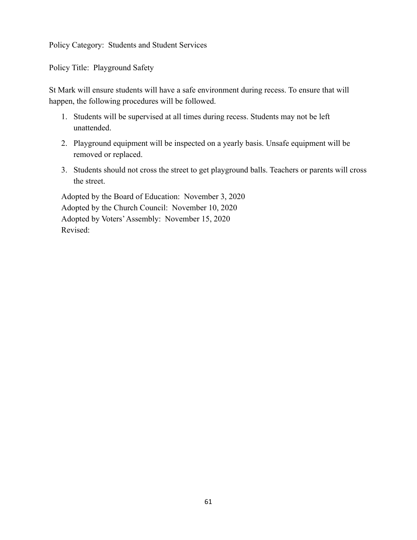Policy Title: Playground Safety

St Mark will ensure students will have a safe environment during recess. To ensure that will happen, the following procedures will be followed.

- 1. Students will be supervised at all times during recess. Students may not be left unattended.
- 2. Playground equipment will be inspected on a yearly basis. Unsafe equipment will be removed or replaced.
- 3. Students should not cross the street to get playground balls. Teachers or parents will cross the street.

Adopted by the Board of Education: November 3, 2020 Adopted by the Church Council: November 10, 2020 Adopted by Voters'Assembly: November 15, 2020 Revised: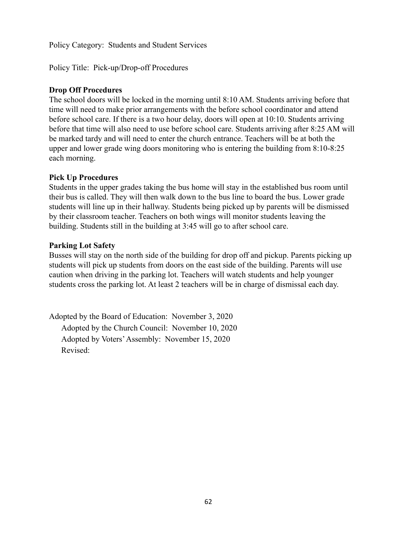Policy Title: Pick-up/Drop-off Procedures

#### **Drop Off Procedures**

The school doors will be locked in the morning until 8:10 AM. Students arriving before that time will need to make prior arrangements with the before school coordinator and attend before school care. If there is a two hour delay, doors will open at 10:10. Students arriving before that time will also need to use before school care. Students arriving after 8:25 AM will be marked tardy and will need to enter the church entrance. Teachers will be at both the upper and lower grade wing doors monitoring who is entering the building from 8:10-8:25 each morning.

## **Pick Up Procedures**

Students in the upper grades taking the bus home will stay in the established bus room until their bus is called. They will then walk down to the bus line to board the bus. Lower grade students will line up in their hallway. Students being picked up by parents will be dismissed by their classroom teacher. Teachers on both wings will monitor students leaving the building. Students still in the building at 3:45 will go to after school care.

#### **Parking Lot Safety**

Busses will stay on the north side of the building for drop off and pickup. Parents picking up students will pick up students from doors on the east side of the building. Parents will use caution when driving in the parking lot. Teachers will watch students and help younger students cross the parking lot. At least 2 teachers will be in charge of dismissal each day.

Adopted by the Board of Education: November 3, 2020 Adopted by the Church Council: November 10, 2020 Adopted by Voters'Assembly: November 15, 2020 Revised: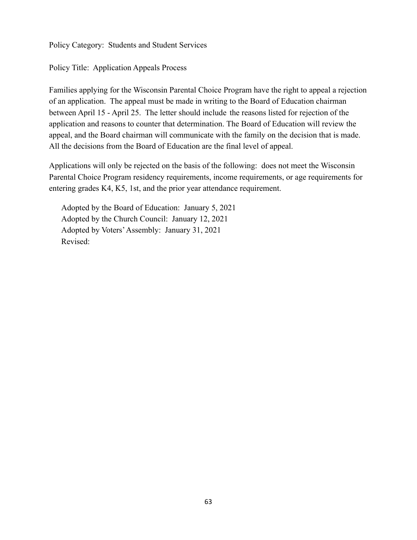Policy Title: Application Appeals Process

Families applying for the Wisconsin Parental Choice Program have the right to appeal a rejection of an application. The appeal must be made in writing to the Board of Education chairman between April 15 - April 25. The letter should include the reasons listed for rejection of the application and reasons to counter that determination. The Board of Education will review the appeal, and the Board chairman will communicate with the family on the decision that is made. All the decisions from the Board of Education are the final level of appeal.

Applications will only be rejected on the basis of the following: does not meet the Wisconsin Parental Choice Program residency requirements, income requirements, or age requirements for entering grades K4, K5, 1st, and the prior year attendance requirement.

Adopted by the Board of Education: January 5, 2021 Adopted by the Church Council: January 12, 2021 Adopted by Voters'Assembly: January 31, 2021 Revised: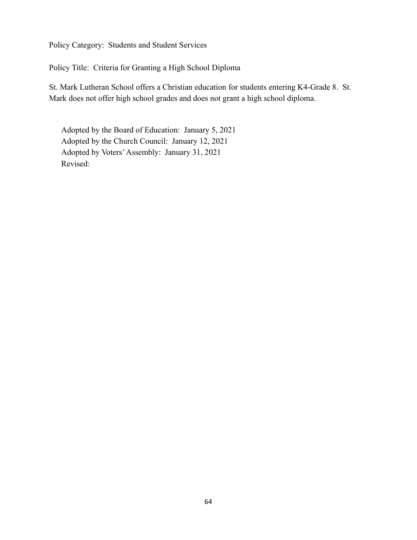Policy Title: Criteria for Granting a High School Diploma

St. Mark Lutheran School offers a Christian education for students entering K4-Grade 8. St. Mark does not offer high school grades and does not grant a high school diploma.

Adopted by the Board of Education: January 5, 2021 Adopted by the Church Council: January 12, 2021 Adopted by Voters'Assembly: January 31, 2021 Revised: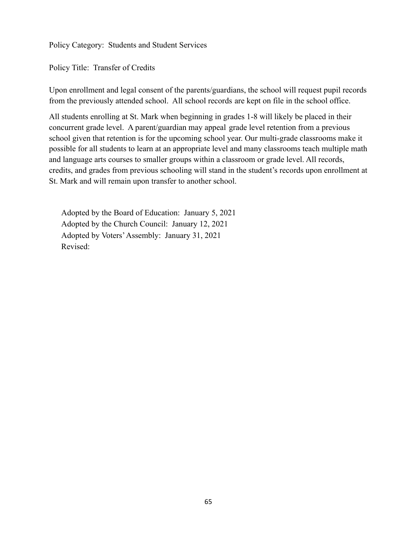Policy Title: Transfer of Credits

Upon enrollment and legal consent of the parents/guardians, the school will request pupil records from the previously attended school. All school records are kept on file in the school office.

All students enrolling at St. Mark when beginning in grades 1-8 will likely be placed in their concurrent grade level. A parent/guardian may appeal grade level retention from a previous school given that retention is for the upcoming school year. Our multi-grade classrooms make it possible for all students to learn at an appropriate level and many classrooms teach multiple math and language arts courses to smaller groups within a classroom or grade level. All records, credits, and grades from previous schooling will stand in the student's records upon enrollment at St. Mark and will remain upon transfer to another school.

Adopted by the Board of Education: January 5, 2021 Adopted by the Church Council: January 12, 2021 Adopted by Voters'Assembly: January 31, 2021 Revised: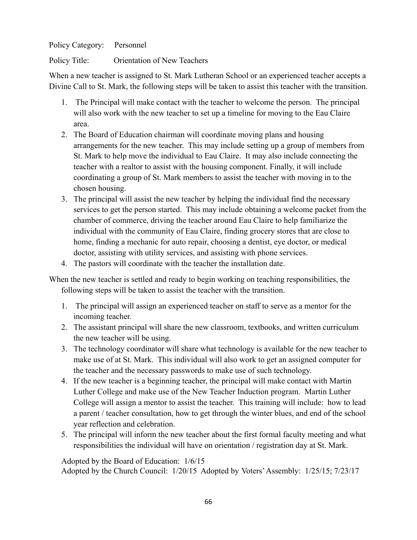Policy Title: Orientation of New Teachers

When a new teacher is assigned to St. Mark Lutheran School or an experienced teacher accepts a Divine Call to St. Mark, the following steps will be taken to assist this teacher with the transition.

- 1. The Principal will make contact with the teacher to welcome the person. The principal will also work with the new teacher to set up a timeline for moving to the Eau Claire area.
- 2. The Board of Education chairman will coordinate moving plans and housing arrangements for the new teacher. This may include setting up a group of members from St. Mark to help move the individual to Eau Claire. It may also include connecting the teacher with a realtor to assist with the housing component. Finally, it will include coordinating a group of St. Mark members to assist the teacher with moving in to the chosen housing.
- 3. The principal will assist the new teacher by helping the individual find the necessary services to get the person started. This may include obtaining a welcome packet from the chamber of commerce, driving the teacher around Eau Claire to help familiarize the individual with the community of Eau Claire, finding grocery stores that are close to home, finding a mechanic for auto repair, choosing a dentist, eye doctor, or medical doctor, assisting with utility services, and assisting with phone services.
- 4. The pastors will coordinate with the teacher the installation date.

When the new teacher is settled and ready to begin working on teaching responsibilities, the following steps will be taken to assist the teacher with the transition.

- 1. The principal will assign an experienced teacher on staff to serve as a mentor for the incoming teacher.
- 2. The assistant principal will share the new classroom, textbooks, and written curriculum the new teacher will be using.
- 3. The technology coordinator will share what technology is available for the new teacher to make use of at St. Mark. This individual will also work to get an assigned computer for the teacher and the necessary passwords to make use of such technology.
- 4. If the new teacher is a beginning teacher, the principal will make contact with Martin Luther College and make use of the New Teacher Induction program. Martin Luther College will assign a mentor to assist the teacher. This training will include: how to lead a parent / teacher consultation, how to get through the winter blues, and end of the school year reflection and celebration.
- 5. The principal will inform the new teacher about the first formal faculty meeting and what responsibilities the individual will have on orientation / registration day at St. Mark.

Adopted by the Board of Education: 1/6/15 Adopted by the Church Council: 1/20/15 Adopted by Voters'Assembly: 1/25/15; 7/23/17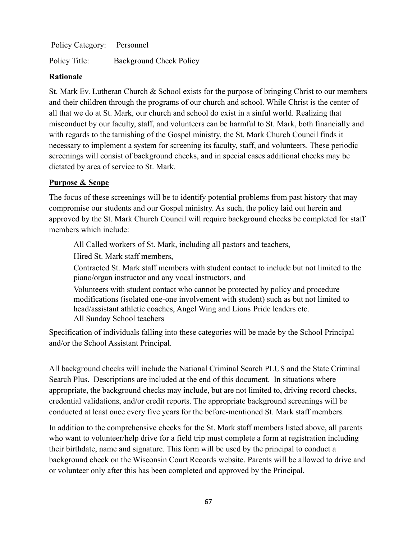Policy Title: Background Check Policy

## **Rationale**

St. Mark Ev. Lutheran Church & School exists for the purpose of bringing Christ to our members and their children through the programs of our church and school. While Christ is the center of all that we do at St. Mark, our church and school do exist in a sinful world. Realizing that misconduct by our faculty, staff, and volunteers can be harmful to St. Mark, both financially and with regards to the tarnishing of the Gospel ministry, the St. Mark Church Council finds it necessary to implement a system for screening its faculty, staff, and volunteers. These periodic screenings will consist of background checks, and in special cases additional checks may be dictated by area of service to St. Mark.

## **Purpose & Scope**

The focus of these screenings will be to identify potential problems from past history that may compromise our students and our Gospel ministry. As such, the policy laid out herein and approved by the St. Mark Church Council will require background checks be completed for staff members which include:

All Called workers of St. Mark, including all pastors and teachers,

Hired St. Mark staff members,

Contracted St. Mark staff members with student contact to include but not limited to the piano/organ instructor and any vocal instructors, and

Volunteers with student contact who cannot be protected by policy and procedure modifications (isolated one-one involvement with student) such as but not limited to head/assistant athletic coaches, Angel Wing and Lions Pride leaders etc. All Sunday School teachers

Specification of individuals falling into these categories will be made by the School Principal and/or the School Assistant Principal.

All background checks will include the National Criminal Search PLUS and the State Criminal Search Plus. Descriptions are included at the end of this document. In situations where appropriate, the background checks may include, but are not limited to, driving record checks, credential validations, and/or credit reports. The appropriate background screenings will be conducted at least once every five years for the before-mentioned St. Mark staff members.

In addition to the comprehensive checks for the St. Mark staff members listed above, all parents who want to volunteer/help drive for a field trip must complete a form at registration including their birthdate, name and signature. This form will be used by the principal to conduct a background check on the Wisconsin Court Records website. Parents will be allowed to drive and or volunteer only after this has been completed and approved by the Principal.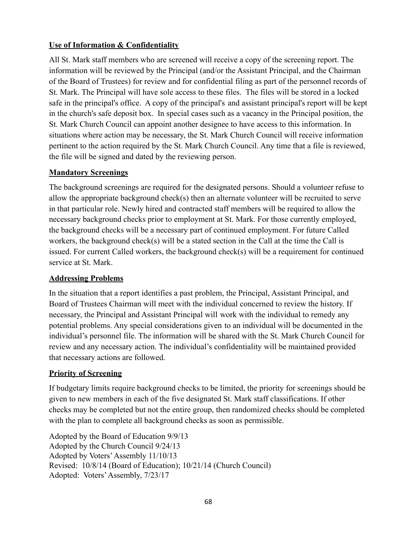# **Use of Information & Confidentiality**

All St. Mark staff members who are screened will receive a copy of the screening report. The information will be reviewed by the Principal (and/or the Assistant Principal, and the Chairman of the Board of Trustees) for review and for confidential filing as part of the personnel records of St. Mark. The Principal will have sole access to these files. The files will be stored in a locked safe in the principal's office. A copy of the principal's and assistant principal's report will be kept in the church's safe deposit box. In special cases such as a vacancy in the Principal position, the St. Mark Church Council can appoint another designee to have access to this information. In situations where action may be necessary, the St. Mark Church Council will receive information pertinent to the action required by the St. Mark Church Council. Any time that a file is reviewed, the file will be signed and dated by the reviewing person.

## **Mandatory Screenings**

The background screenings are required for the designated persons. Should a volunteer refuse to allow the appropriate background check(s) then an alternate volunteer will be recruited to serve in that particular role. Newly hired and contracted staff members will be required to allow the necessary background checks prior to employment at St. Mark. For those currently employed, the background checks will be a necessary part of continued employment. For future Called workers, the background check(s) will be a stated section in the Call at the time the Call is issued. For current Called workers, the background check(s) will be a requirement for continued service at St. Mark.

## **Addressing Problems**

In the situation that a report identifies a past problem, the Principal, Assistant Principal, and Board of Trustees Chairman will meet with the individual concerned to review the history. If necessary, the Principal and Assistant Principal will work with the individual to remedy any potential problems. Any special considerations given to an individual will be documented in the individual's personnel file. The information will be shared with the St. Mark Church Council for review and any necessary action. The individual's confidentiality will be maintained provided that necessary actions are followed.

# **Priority of Screening**

If budgetary limits require background checks to be limited, the priority for screenings should be given to new members in each of the five designated St. Mark staff classifications. If other checks may be completed but not the entire group, then randomized checks should be completed with the plan to complete all background checks as soon as permissible.

Adopted by the Board of Education 9/9/13 Adopted by the Church Council 9/24/13 Adopted by Voters'Assembly 11/10/13 Revised: 10/8/14 (Board of Education); 10/21/14 (Church Council) Adopted: Voters'Assembly, 7/23/17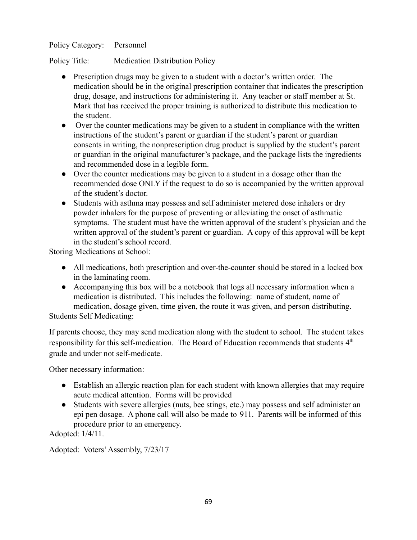Policy Title: Medication Distribution Policy

- Prescription drugs may be given to a student with a doctor's written order. The medication should be in the original prescription container that indicates the prescription drug, dosage, and instructions for administering it. Any teacher or staff member at St. Mark that has received the proper training is authorized to distribute this medication to the student.
- Over the counter medications may be given to a student in compliance with the written instructions of the student's parent or guardian if the student's parent or guardian consents in writing, the nonprescription drug product is supplied by the student's parent or guardian in the original manufacturer's package, and the package lists the ingredients and recommended dose in a legible form.
- Over the counter medications may be given to a student in a dosage other than the recommended dose ONLY if the request to do so is accompanied by the written approval of the student's doctor.
- Students with asthma may possess and self administer metered dose inhalers or dry powder inhalers for the purpose of preventing or alleviating the onset of asthmatic symptoms. The student must have the written approval of the student's physician and the written approval of the student's parent or guardian. A copy of this approval will be kept in the student's school record.

Storing Medications at School:

- All medications, both prescription and over-the-counter should be stored in a locked box in the laminating room.
- Accompanying this box will be a notebook that logs all necessary information when a medication is distributed. This includes the following: name of student, name of medication, dosage given, time given, the route it was given, and person distributing. Students Self Medicating:

If parents choose, they may send medication along with the student to school. The student takes responsibility for this self-medication. The Board of Education recommends that students 4<sup>th</sup> grade and under not self-medicate.

Other necessary information:

- Establish an allergic reaction plan for each student with known allergies that may require acute medical attention. Forms will be provided
- Students with severe allergies (nuts, bee stings, etc.) may possess and self administer an epi pen dosage. A phone call will also be made to 911. Parents will be informed of this procedure prior to an emergency.

Adopted: 1/4/11.

Adopted: Voters'Assembly, 7/23/17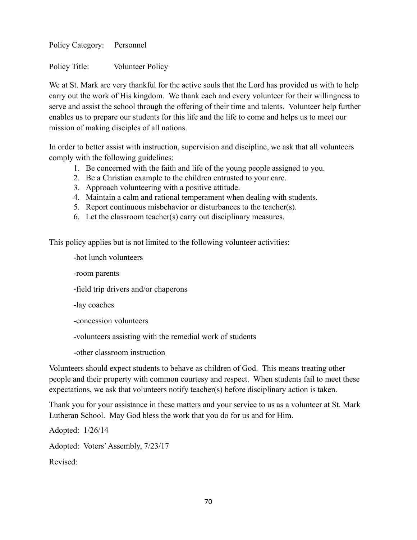Policy Title: Volunteer Policy

We at St. Mark are very thankful for the active souls that the Lord has provided us with to help carry out the work of His kingdom. We thank each and every volunteer for their willingness to serve and assist the school through the offering of their time and talents. Volunteer help further enables us to prepare our students for this life and the life to come and helps us to meet our mission of making disciples of all nations.

In order to better assist with instruction, supervision and discipline, we ask that all volunteers comply with the following guidelines:

- 1. Be concerned with the faith and life of the young people assigned to you.
- 2. Be a Christian example to the children entrusted to your care.
- 3. Approach volunteering with a positive attitude.
- 4. Maintain a calm and rational temperament when dealing with students.
- 5. Report continuous misbehavior or disturbances to the teacher(s).
- 6. Let the classroom teacher(s) carry out disciplinary measures.

This policy applies but is not limited to the following volunteer activities:

-hot lunch volunteers

-room parents

-field trip drivers and/or chaperons

-lay coaches

-concession volunteers

-volunteers assisting with the remedial work of students

-other classroom instruction

Volunteers should expect students to behave as children of God. This means treating other people and their property with common courtesy and respect. When students fail to meet these expectations, we ask that volunteers notify teacher(s) before disciplinary action is taken.

Thank you for your assistance in these matters and your service to us as a volunteer at St. Mark Lutheran School. May God bless the work that you do for us and for Him.

Adopted: 1/26/14 Adopted: Voters'Assembly, 7/23/17 Revised: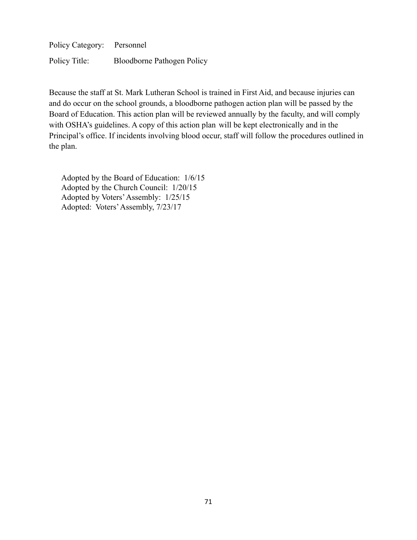Policy Title: Bloodborne Pathogen Policy

Because the staff at St. Mark Lutheran School is trained in First Aid, and because injuries can and do occur on the school grounds, a bloodborne pathogen action plan will be passed by the Board of Education. This action plan will be reviewed annually by the faculty, and will comply with OSHA's guidelines. A copy of this action plan will be kept electronically and in the Principal's office. If incidents involving blood occur, staff will follow the procedures outlined in the plan.

Adopted by the Board of Education: 1/6/15 Adopted by the Church Council: 1/20/15 Adopted by Voters'Assembly: 1/25/15 Adopted: Voters'Assembly, 7/23/17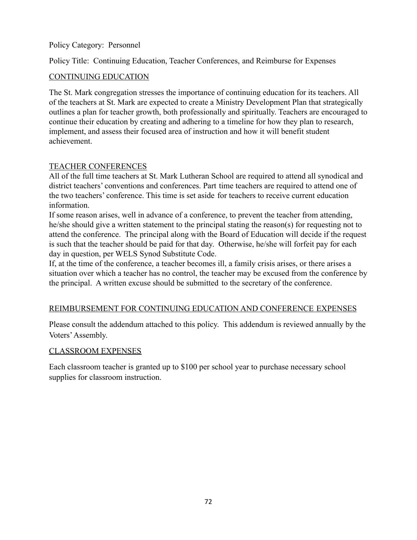Policy Title: Continuing Education, Teacher Conferences, and Reimburse for Expenses

## CONTINUING EDUCATION

The St. Mark congregation stresses the importance of continuing education for its teachers. All of the teachers at St. Mark are expected to create a Ministry Development Plan that strategically outlines a plan for teacher growth, both professionally and spiritually. Teachers are encouraged to continue their education by creating and adhering to a timeline for how they plan to research, implement, and assess their focused area of instruction and how it will benefit student achievement.

#### TEACHER CONFERENCES

All of the full time teachers at St. Mark Lutheran School are required to attend all synodical and district teachers' conventions and conferences. Part time teachers are required to attend one of the two teachers' conference. This time is set aside for teachers to receive current education information.

If some reason arises, well in advance of a conference, to prevent the teacher from attending, he/she should give a written statement to the principal stating the reason(s) for requesting not to attend the conference. The principal along with the Board of Education will decide if the request is such that the teacher should be paid for that day. Otherwise, he/she will forfeit pay for each day in question, per WELS Synod Substitute Code.

If, at the time of the conference, a teacher becomes ill, a family crisis arises, or there arises a situation over which a teacher has no control, the teacher may be excused from the conference by the principal. A written excuse should be submitted to the secretary of the conference.

#### REIMBURSEMENT FOR CONTINUING EDUCATION AND CONFERENCE EXPENSES

Please consult the addendum attached to this policy. This addendum is reviewed annually by the Voters'Assembly.

#### CLASSROOM EXPENSES

Each classroom teacher is granted up to \$100 per school year to purchase necessary school supplies for classroom instruction.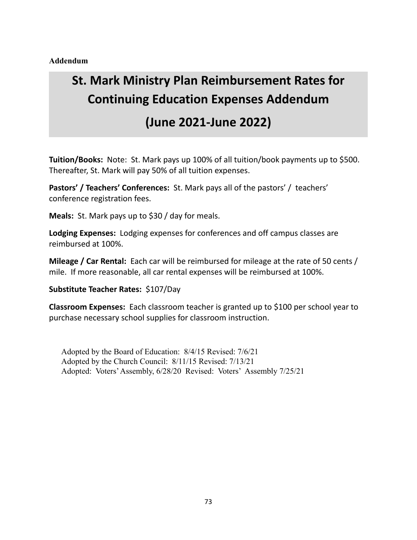**Addendum**

# **St. Mark Ministry Plan Reimbursement Rates for Continuing Education Expenses Addendum**

# **(June 2021-June 2022)**

**Tuition/Books:** Note: St. Mark pays up 100% of all tuition/book payments up to \$500. Thereafter, St. Mark will pay 50% of all tuition expenses.

**Pastors' / Teachers' Conferences:** St. Mark pays all of the pastors' / teachers' conference registration fees.

**Meals:** St. Mark pays up to \$30 / day for meals.

**Lodging Expenses:** Lodging expenses for conferences and off campus classes are reimbursed at 100%.

**Mileage / Car Rental:** Each car will be reimbursed for mileage at the rate of 50 cents / mile. If more reasonable, all car rental expenses will be reimbursed at 100%.

**Substitute Teacher Rates:** \$107/Day

**Classroom Expenses:** Each classroom teacher is granted up to \$100 per school year to purchase necessary school supplies for classroom instruction.

Adopted by the Board of Education: 8/4/15 Revised: 7/6/21 Adopted by the Church Council: 8/11/15 Revised: 7/13/21 Adopted: Voters'Assembly, 6/28/20 Revised: Voters' Assembly 7/25/21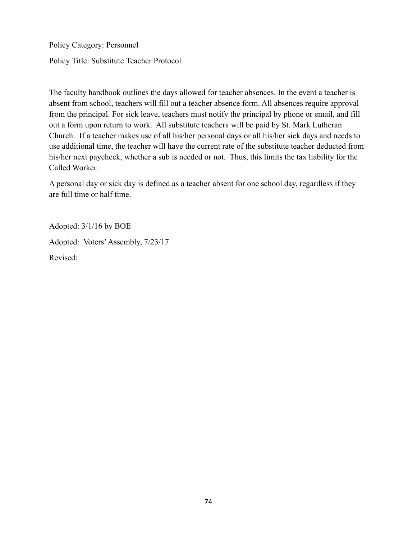Policy Title: Substitute Teacher Protocol

The faculty handbook outlines the days allowed for teacher absences. In the event a teacher is absent from school, teachers will fill out a teacher absence form. All absences require approval from the principal. For sick leave, teachers must notify the principal by phone or email, and fill out a form upon return to work. All substitute teachers will be paid by St. Mark Lutheran Church. If a teacher makes use of all his/her personal days or all his/her sick days and needs to use additional time, the teacher will have the current rate of the substitute teacher deducted from his/her next paycheck, whether a sub is needed or not. Thus, this limits the tax liability for the Called Worker.

A personal day or sick day is defined as a teacher absent for one school day, regardless if they are full time or half time.

Adopted: 3/1/16 by BOE Adopted: Voters'Assembly, 7/23/17 Revised: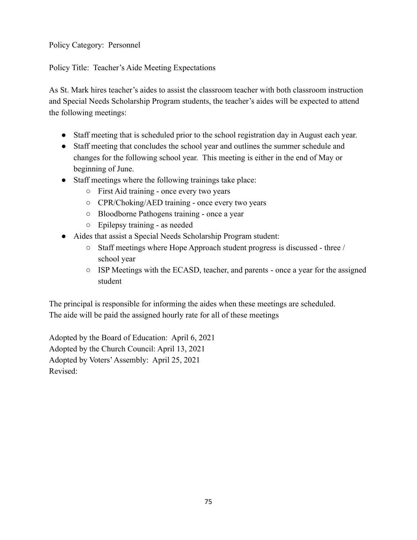Policy Title: Teacher's Aide Meeting Expectations

As St. Mark hires teacher's aides to assist the classroom teacher with both classroom instruction and Special Needs Scholarship Program students, the teacher's aides will be expected to attend the following meetings:

- Staff meeting that is scheduled prior to the school registration day in August each year.
- Staff meeting that concludes the school year and outlines the summer schedule and changes for the following school year. This meeting is either in the end of May or beginning of June.
- Staff meetings where the following trainings take place:
	- First Aid training once every two years
	- CPR/Choking/AED training once every two years
	- Bloodborne Pathogens training once a year
	- Epilepsy training as needed
- Aides that assist a Special Needs Scholarship Program student:
	- Staff meetings where Hope Approach student progress is discussed three / school year
	- ISP Meetings with the ECASD, teacher, and parents once a year for the assigned student

The principal is responsible for informing the aides when these meetings are scheduled. The aide will be paid the assigned hourly rate for all of these meetings

Adopted by the Board of Education: April 6, 2021 Adopted by the Church Council: April 13, 2021 Adopted by Voters'Assembly: April 25, 2021 Revised: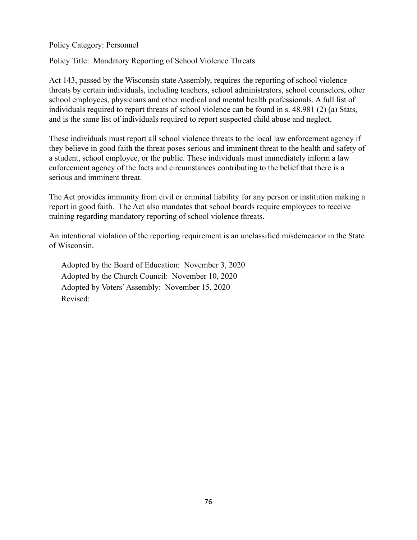Policy Title: Mandatory Reporting of School Violence Threats

Act 143, passed by the Wisconsin state Assembly, requires the reporting of school violence threats by certain individuals, including teachers, school administrators, school counselors, other school employees, physicians and other medical and mental health professionals. A full list of individuals required to report threats of school violence can be found in s. 48.981 (2) (a) Stats, and is the same list of individuals required to report suspected child abuse and neglect.

These individuals must report all school violence threats to the local law enforcement agency if they believe in good faith the threat poses serious and imminent threat to the health and safety of a student, school employee, or the public. These individuals must immediately inform a law enforcement agency of the facts and circumstances contributing to the belief that there is a serious and imminent threat.

The Act provides immunity from civil or criminal liability for any person or institution making a report in good faith. The Act also mandates that school boards require employees to receive training regarding mandatory reporting of school violence threats.

An intentional violation of the reporting requirement is an unclassified misdemeanor in the State of Wisconsin.

Adopted by the Board of Education: November 3, 2020 Adopted by the Church Council: November 10, 2020 Adopted by Voters'Assembly: November 15, 2020 Revised: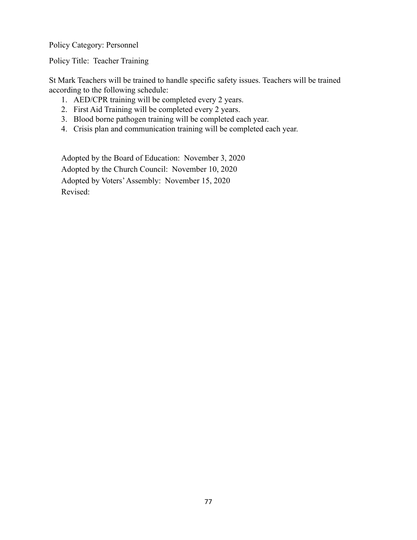Policy Title: Teacher Training

St Mark Teachers will be trained to handle specific safety issues. Teachers will be trained according to the following schedule:

- 1. AED/CPR training will be completed every 2 years.
- 2. First Aid Training will be completed every 2 years.
- 3. Blood borne pathogen training will be completed each year.
- 4. Crisis plan and communication training will be completed each year.

Adopted by the Board of Education: November 3, 2020 Adopted by the Church Council: November 10, 2020 Adopted by Voters'Assembly: November 15, 2020 Revised: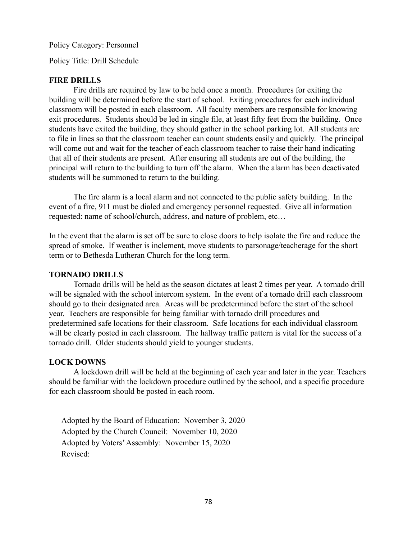Policy Title: Drill Schedule

#### **FIRE DRILLS**

Fire drills are required by law to be held once a month. Procedures for exiting the building will be determined before the start of school. Exiting procedures for each individual classroom will be posted in each classroom. All faculty members are responsible for knowing exit procedures. Students should be led in single file, at least fifty feet from the building. Once students have exited the building, they should gather in the school parking lot. All students are to file in lines so that the classroom teacher can count students easily and quickly. The principal will come out and wait for the teacher of each classroom teacher to raise their hand indicating that all of their students are present. After ensuring all students are out of the building, the principal will return to the building to turn off the alarm. When the alarm has been deactivated students will be summoned to return to the building.

The fire alarm is a local alarm and not connected to the public safety building. In the event of a fire, 911 must be dialed and emergency personnel requested. Give all information requested: name of school/church, address, and nature of problem, etc…

In the event that the alarm is set off be sure to close doors to help isolate the fire and reduce the spread of smoke. If weather is inclement, move students to parsonage/teacherage for the short term or to Bethesda Lutheran Church for the long term.

#### **TORNADO DRILLS**

Tornado drills will be held as the season dictates at least 2 times per year. A tornado drill will be signaled with the school intercom system. In the event of a tornado drill each classroom should go to their designated area. Areas will be predetermined before the start of the school year. Teachers are responsible for being familiar with tornado drill procedures and predetermined safe locations for their classroom. Safe locations for each individual classroom will be clearly posted in each classroom. The hallway traffic pattern is vital for the success of a tornado drill. Older students should yield to younger students.

#### **LOCK DOWNS**

A lockdown drill will be held at the beginning of each year and later in the year. Teachers should be familiar with the lockdown procedure outlined by the school, and a specific procedure for each classroom should be posted in each room.

Adopted by the Board of Education: November 3, 2020 Adopted by the Church Council: November 10, 2020 Adopted by Voters'Assembly: November 15, 2020 Revised: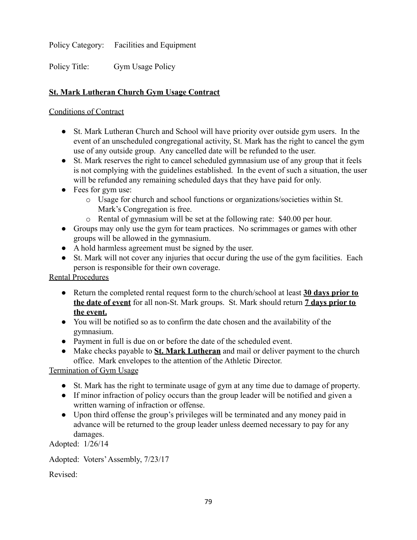Policy Category: Facilities and Equipment

Policy Title: Gym Usage Policy

# **St. Mark Lutheran Church Gym Usage Contract**

### Conditions of Contract

- St. Mark Lutheran Church and School will have priority over outside gym users. In the event of an unscheduled congregational activity, St. Mark has the right to cancel the gym use of any outside group. Any cancelled date will be refunded to the user.
- St. Mark reserves the right to cancel scheduled gymnasium use of any group that it feels is not complying with the guidelines established. In the event of such a situation, the user will be refunded any remaining scheduled days that they have paid for only.
- Fees for gym use:
	- o Usage for church and school functions or organizations/societies within St. Mark's Congregation is free.
	- o Rental of gymnasium will be set at the following rate: \$40.00 per hour.
- Groups may only use the gym for team practices. No scrimmages or games with other groups will be allowed in the gymnasium.
- A hold harmless agreement must be signed by the user.
- St. Mark will not cover any injuries that occur during the use of the gym facilities. Each person is responsible for their own coverage.

Rental Procedures

- Return the completed rental request form to the church/school at least **30 days prior to the date of event** for all non-St. Mark groups. St. Mark should return **7 days prior to the event.**
- You will be notified so as to confirm the date chosen and the availability of the gymnasium.
- Payment in full is due on or before the date of the scheduled event.
- Make checks payable to **St. Mark Lutheran** and mail or deliver payment to the church office. Mark envelopes to the attention of the Athletic Director.

Termination of Gym Usage

- St. Mark has the right to terminate usage of gym at any time due to damage of property.
- If minor infraction of policy occurs than the group leader will be notified and given a written warning of infraction or offense.
- Upon third offense the group's privileges will be terminated and any money paid in advance will be returned to the group leader unless deemed necessary to pay for any damages.

Adopted: 1/26/14

Adopted: Voters'Assembly, 7/23/17

Revised: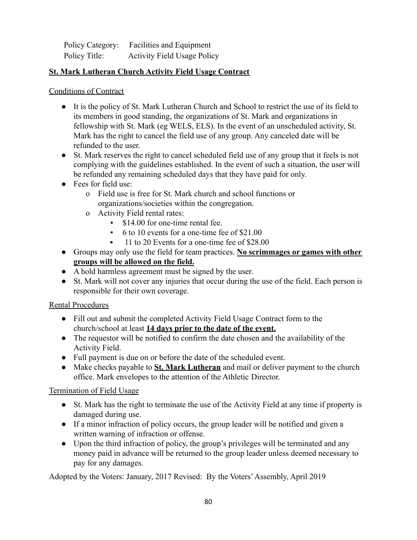| Policy Category: | Facilities and Equipment           |
|------------------|------------------------------------|
| Policy Title:    | <b>Activity Field Usage Policy</b> |

# **St. Mark Lutheran Church Activity Field Usage Contract**

#### Conditions of Contract

- It is the policy of St. Mark Lutheran Church and School to restrict the use of its field to its members in good standing, the organizations of St. Mark and organizations in fellowship with St. Mark (eg WELS, ELS). In the event of an unscheduled activity, St. Mark has the right to cancel the field use of any group. Any canceled date will be refunded to the user.
- St. Mark reserves the right to cancel scheduled field use of any group that it feels is not complying with the guidelines established. In the event of such a situation, the user will be refunded any remaining scheduled days that they have paid for only.
- Fees for field use:
	- o Field use is free for St. Mark church and school functions or organizations/societies within the congregation.
	- o Activity Field rental rates:
		- **•** \$14.00 for one-time rental fee.
		- 6 to 10 events for a one-time fee of \$21.00
		- 11 to 20 Events for a one-time fee of \$28.00
- **●** Groups may only use the field for team practices. **No scrimmages or games with other groups will be allowed on the field.**
- A hold harmless agreement must be signed by the user.
- St. Mark will not cover any injuries that occur during the use of the field. Each person is responsible for their own coverage.

#### Rental Procedures

- Fill out and submit the completed Activity Field Usage Contract form to the church/school at least **14 days prior to the date of the event.**
- The requestor will be notified to confirm the date chosen and the availability of the Activity Field.
- Full payment is due on or before the date of the scheduled event.
- Make checks payable to **St. Mark Lutheran** and mail or deliver payment to the church office. Mark envelopes to the attention of the Athletic Director.

#### Termination of Field Usage

- St. Mark has the right to terminate the use of the Activity Field at any time if property is damaged during use.
- If a minor infraction of policy occurs, the group leader will be notified and given a written warning of infraction or offense.
- Upon the third infraction of policy, the group's privileges will be terminated and any money paid in advance will be returned to the group leader unless deemed necessary to pay for any damages.

Adopted by the Voters: January, 2017 Revised: By the Voters'Assembly, April 2019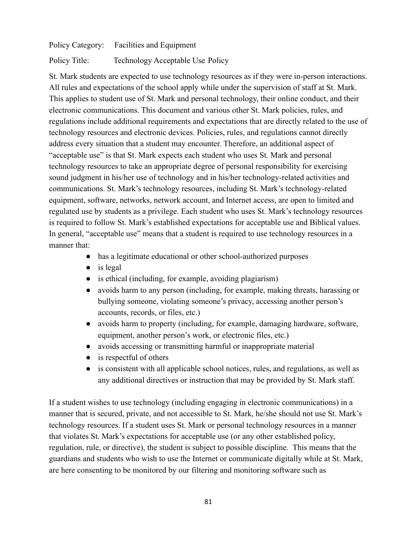Policy Category: Facilities and Equipment

Policy Title: Technology Acceptable Use Policy

St. Mark students are expected to use technology resources as if they were in-person interactions. All rules and expectations of the school apply while under the supervision of staff at St. Mark. This applies to student use of St. Mark and personal technology, their online conduct, and their electronic communications. This document and various other St. Mark policies, rules, and regulations include additional requirements and expectations that are directly related to the use of technology resources and electronic devices. Policies, rules, and regulations cannot directly address every situation that a student may encounter. Therefore, an additional aspect of "acceptable use" is that St. Mark expects each student who uses St. Mark and personal technology resources to take an appropriate degree of personal responsibility for exercising sound judgment in his/her use of technology and in his/her technology-related activities and communications. St. Mark's technology resources, including St. Mark's technology-related equipment, software, networks, network account, and Internet access, are open to limited and regulated use by students as a privilege. Each student who uses St. Mark's technology resources is required to follow St. Mark's established expectations for acceptable use and Biblical values. In general, "acceptable use" means that a student is required to use technology resources in a manner that:

- has a legitimate educational or other school-authorized purposes
- $\bullet$  is legal
- $\bullet$  is ethical (including, for example, avoiding plagiarism)
- avoids harm to any person (including, for example, making threats, harassing or bullying someone, violating someone's privacy, accessing another person's accounts, records, or files, etc.)
- avoids harm to property (including, for example, damaging hardware, software, equipment, another person's work, or electronic files, etc.)
- avoids accessing or transmitting harmful or inappropriate material
- $\bullet$  is respectful of others
- is consistent with all applicable school notices, rules, and regulations, as well as any additional directives or instruction that may be provided by St. Mark staff.

If a student wishes to use technology (including engaging in electronic communications) in a manner that is secured, private, and not accessible to St. Mark, he/she should not use St. Mark's technology resources. If a student uses St. Mark or personal technology resources in a manner that violates St. Mark's expectations for acceptable use (or any other established policy, regulation, rule, or directive), the student is subject to possible discipline. This means that the guardians and students who wish to use the Internet or communicate digitally while at St. Mark, are here consenting to be monitored by our filtering and monitoring software such as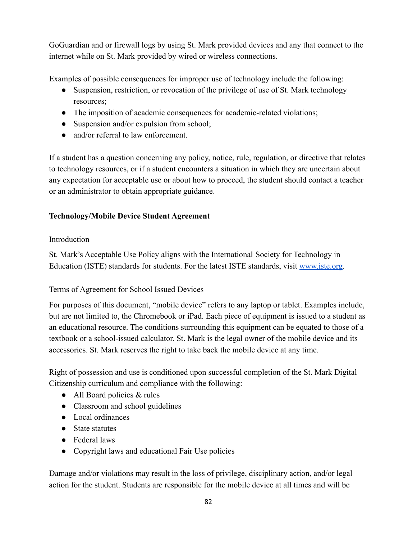GoGuardian and or firewall logs by using St. Mark provided devices and any that connect to the internet while on St. Mark provided by wired or wireless connections.

Examples of possible consequences for improper use of technology include the following:

- Suspension, restriction, or revocation of the privilege of use of St. Mark technology resources;
- The imposition of academic consequences for academic-related violations;
- Suspension and/or expulsion from school;
- and/or referral to law enforcement.

If a student has a question concerning any policy, notice, rule, regulation, or directive that relates to technology resources, or if a student encounters a situation in which they are uncertain about any expectation for acceptable use or about how to proceed, the student should contact a teacher or an administrator to obtain appropriate guidance.

# **Technology/Mobile Device Student Agreement**

### Introduction

St. Mark's Acceptable Use Policy aligns with the International Society for Technology in Education (ISTE) standards for students. For the latest ISTE standards, visit [www.iste.org](http://www.iste.org).

# Terms of Agreement for School Issued Devices

For purposes of this document, "mobile device" refers to any laptop or tablet. Examples include, but are not limited to, the Chromebook or iPad. Each piece of equipment is issued to a student as an educational resource. The conditions surrounding this equipment can be equated to those of a textbook or a school-issued calculator. St. Mark is the legal owner of the mobile device and its accessories. St. Mark reserves the right to take back the mobile device at any time.

Right of possession and use is conditioned upon successful completion of the St. Mark Digital Citizenship curriculum and compliance with the following:

- All Board policies & rules
- Classroom and school guidelines
- Local ordinances
- State statutes
- Federal laws
- Copyright laws and educational Fair Use policies

Damage and/or violations may result in the loss of privilege, disciplinary action, and/or legal action for the student. Students are responsible for the mobile device at all times and will be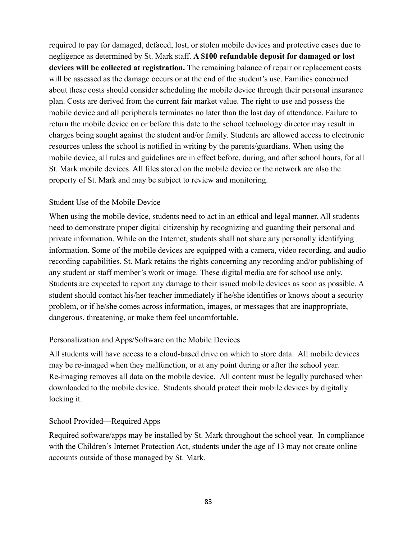required to pay for damaged, defaced, lost, or stolen mobile devices and protective cases due to negligence as determined by St. Mark staff. **A \$100 refundable deposit for damaged or lost devices will be collected at registration.** The remaining balance of repair or replacement costs will be assessed as the damage occurs or at the end of the student's use. Families concerned about these costs should consider scheduling the mobile device through their personal insurance plan. Costs are derived from the current fair market value. The right to use and possess the mobile device and all peripherals terminates no later than the last day of attendance. Failure to return the mobile device on or before this date to the school technology director may result in charges being sought against the student and/or family. Students are allowed access to electronic resources unless the school is notified in writing by the parents/guardians. When using the mobile device, all rules and guidelines are in effect before, during, and after school hours, for all St. Mark mobile devices. All files stored on the mobile device or the network are also the property of St. Mark and may be subject to review and monitoring.

#### Student Use of the Mobile Device

When using the mobile device, students need to act in an ethical and legal manner. All students need to demonstrate proper digital citizenship by recognizing and guarding their personal and private information. While on the Internet, students shall not share any personally identifying information. Some of the mobile devices are equipped with a camera, video recording, and audio recording capabilities. St. Mark retains the rights concerning any recording and/or publishing of any student or staff member's work or image. These digital media are for school use only. Students are expected to report any damage to their issued mobile devices as soon as possible. A student should contact his/her teacher immediately if he/she identifies or knows about a security problem, or if he/she comes across information, images, or messages that are inappropriate, dangerous, threatening, or make them feel uncomfortable.

#### Personalization and Apps/Software on the Mobile Devices

All students will have access to a cloud-based drive on which to store data. All mobile devices may be re-imaged when they malfunction, or at any point during or after the school year. Re-imaging removes all data on the mobile device. All content must be legally purchased when downloaded to the mobile device. Students should protect their mobile devices by digitally locking it.

#### School Provided—Required Apps

Required software/apps may be installed by St. Mark throughout the school year. In compliance with the Children's Internet Protection Act, students under the age of 13 may not create online accounts outside of those managed by St. Mark.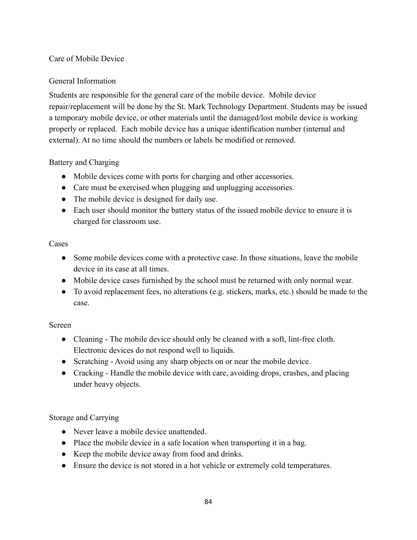# Care of Mobile Device

#### General Information

Students are responsible for the general care of the mobile device. Mobile device repair/replacement will be done by the St. Mark Technology Department. Students may be issued a temporary mobile device, or other materials until the damaged/lost mobile device is working properly or replaced. Each mobile device has a unique identification number (internal and external). At no time should the numbers or labels be modified or removed.

#### Battery and Charging

- Mobile devices come with ports for charging and other accessories.
- Care must be exercised when plugging and unplugging accessories.
- The mobile device is designed for daily use.
- Each user should monitor the battery status of the issued mobile device to ensure it is charged for classroom use.

#### Cases

- Some mobile devices come with a protective case. In those situations, leave the mobile device in its case at all times.
- Mobile device cases furnished by the school must be returned with only normal wear.
- To avoid replacement fees, no alterations (e.g. stickers, marks, etc.) should be made to the case.

#### Screen

- Cleaning The mobile device should only be cleaned with a soft, lint-free cloth. Electronic devices do not respond well to liquids.
- Scratching Avoid using any sharp objects on or near the mobile device.
- Cracking Handle the mobile device with care, avoiding drops, crashes, and placing under heavy objects.

#### Storage and Carrying

- Never leave a mobile device unattended.
- Place the mobile device in a safe location when transporting it in a bag.
- Keep the mobile device away from food and drinks.
- Ensure the device is not stored in a hot vehicle or extremely cold temperatures.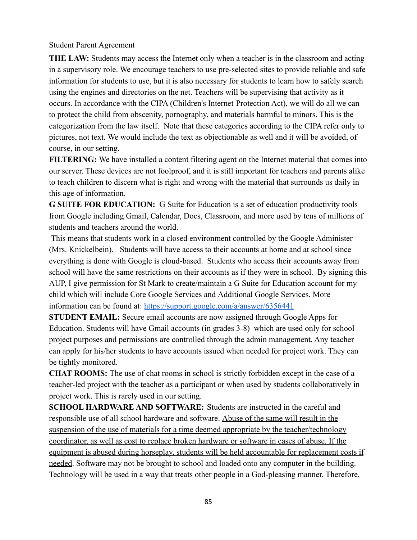Student Parent Agreement

**THE LAW:** Students may access the Internet only when a teacher is in the classroom and acting in a supervisory role. We encourage teachers to use pre-selected sites to provide reliable and safe information for students to use, but it is also necessary for students to learn how to safely search using the engines and directories on the net. Teachers will be supervising that activity as it occurs. In accordance with the CIPA (Children's Internet Protection Act), we will do all we can to protect the child from obscenity, pornography, and materials harmful to minors. This is the categorization from the law itself. Note that these categories according to the CIPA refer only to pictures, not text. We would include the text as objectionable as well and it will be avoided, of course, in our setting.

**FILTERING:** We have installed a content filtering agent on the Internet material that comes into our server. These devices are not foolproof, and it is still important for teachers and parents alike to teach children to discern what is right and wrong with the material that surrounds us daily in this age of information.

**G SUITE FOR EDUCATION:** G Suite for Education is a set of education productivity tools from Google including Gmail, Calendar, Docs, Classroom, and more used by tens of millions of students and teachers around the world.

This means that students work in a closed environment controlled by the Google Administer (Mrs. Knickelbein). Students will have access to their accounts at home and at school since everything is done with Google is cloud-based. Students who access their accounts away from school will have the same restrictions on their accounts as if they were in school. By signing this AUP, I give permission for St Mark to create/maintain a G Suite for Education account for my child which will include Core Google Services and Additional Google Services. More information can be found at: <https://support.google.com/a/answer/6356441>

**STUDENT EMAIL:** Secure email accounts are now assigned through Google Apps for Education. Students will have Gmail accounts (in grades 3-8) which are used only for school project purposes and permissions are controlled through the admin management. Any teacher can apply for his/her students to have accounts issued when needed for project work. They can be tightly monitored.

**CHAT ROOMS:** The use of chat rooms in school is strictly forbidden except in the case of a teacher-led project with the teacher as a participant or when used by students collaboratively in project work. This is rarely used in our setting.

**SCHOOL HARDWARE AND SOFTWARE:** Students are instructed in the careful and responsible use of all school hardware and software. Abuse of the same will result in the suspension of the use of materials for a time deemed appropriate by the teacher/technology coordinator, as well as cost to replace broken hardware or software in cases of abuse. If the equipment is abused during horseplay, students will be held accountable for replacement costs if needed. Software may not be brought to school and loaded onto any computer in the building. Technology will be used in a way that treats other people in a God-pleasing manner. Therefore,